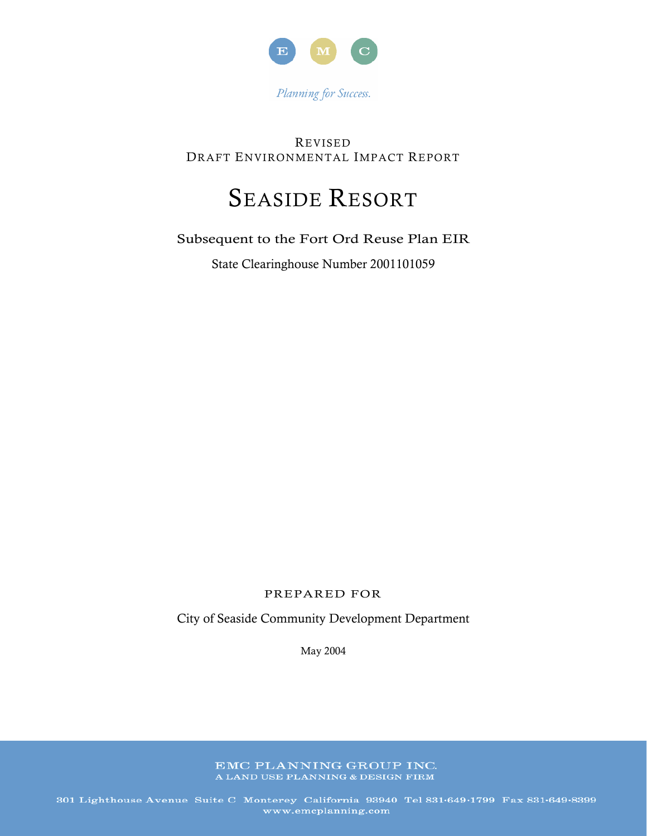

Planning for Success.

#### REVISED DRAFT ENVIRONMENTAL IMPACT REPORT

## SEASIDE RESORT

#### Subsequent to the Fort Ord Reuse Plan EIR

State Clearinghouse Number 2001101059

#### PREPARED FOR

City of Seaside Community Development Department

May 2004

EMC PLANNING GROUP INC. A LAND USE PLANNING & DESIGN FIRM

301 Lighthouse Avenue Suite C Monterey California 93940 Tel 831-649-1799 Fax 831-649-8399 www.emcplanning.com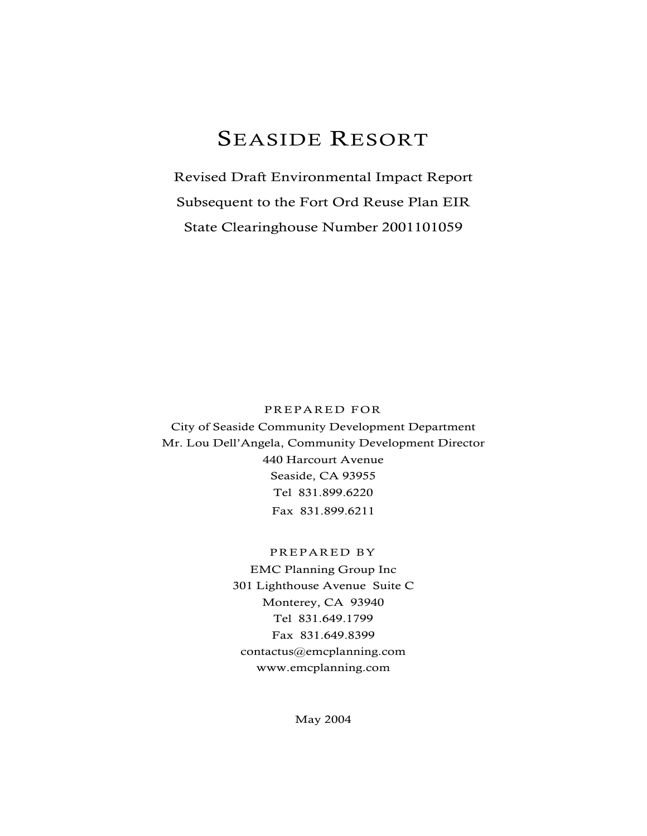## SEASIDE RESORT

Revised Draft Environmental Impact Report Subsequent to the Fort Ord Reuse Plan EIR State Clearinghouse Number 2001101059

#### PREPARED FOR

City of Seaside Community Development Department Mr. Lou Dell'Angela, Community Development Director 440 Harcourt Avenue Seaside, CA 93955 Tel 831.899.6220 Fax 831.899.6211

#### PREPARED BY

EMC Planning Group Inc 301 Lighthouse Avenue Suite C Monterey, CA 93940 Tel 831.649.1799 Fax 831.649.8399 contactus@emcplanning.com www.emcplanning.com

May 2004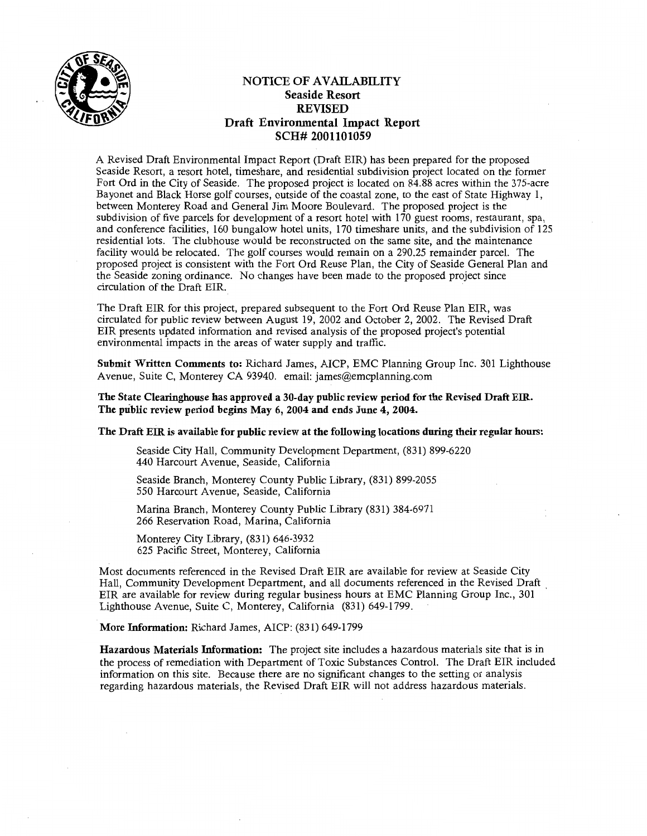

#### **NOTICE OF AVAILABILITY Seaside Resort REVISED** Draft Environmental Impact Report SCH# 2001101059

A Revised Draft Environmental Impact Report (Draft EIR) has been prepared for the proposed Seaside Resort, a resort hotel, timeshare, and residential subdivision project located on the former Fort Ord in the City of Seaside. The proposed project is located on 84.88 acres within the 375-acre Bayonet and Black Horse golf courses, outside of the coastal zone, to the east of State Highway 1, between Monterey Road and General Jim Moore Boulevard. The proposed project is the subdivision of five parcels for development of a resort hotel with 170 guest rooms, restaurant, spa, and conference facilities, 160 bungalow hotel units, 170 timeshare units, and the subdivision of 125 residential lots. The clubhouse would be reconstructed on the same site, and the maintenance facility would be relocated. The golf courses would remain on a 290.25 remainder parcel. The proposed project is consistent with the Fort Ord Reuse Plan, the City of Seaside General Plan and the Seaside zoning ordinance. No changes have been made to the proposed project since circulation of the Draft EIR.

The Draft EIR for this project, prepared subsequent to the Fort Ord Reuse Plan EIR, was circulated for public review between August 19, 2002 and October 2, 2002. The Revised Draft EIR presents updated information and revised analysis of the proposed project's potential environmental impacts in the areas of water supply and traffic.

Submit Written Comments to: Richard James, AICP, EMC Planning Group Inc. 301 Lighthouse Avenue, Suite C, Monterey CA 93940. email: james@emcplanning.com

The State Clearinghouse has approved a 30-day public review period for the Revised Draft EIR. The public review period begins May 6, 2004 and ends June 4, 2004.

The Draft EIR is available for public review at the following locations during their regular hours:

Seaside City Hall, Community Development Department, (831) 899-6220 440 Harcourt Avenue, Seaside, California

Seaside Branch, Monterey County Public Library, (831) 899-2055 550 Harcourt Avenue, Seaside, California

Marina Branch, Monterey County Public Library (831) 384-6971 266 Reservation Road, Marina, California

Monterey City Library, (831) 646-3932 625 Pacific Street, Monterey, California

Most documents referenced in the Revised Draft EIR are available for review at Seaside City Hall, Community Development Department, and all documents referenced in the Revised Draft EIR are available for review during regular business hours at EMC Planning Group Inc., 301 Lighthouse Avenue, Suite C, Monterey, California (831) 649-1799.

More Information: Richard James, AICP: (831) 649-1799

Hazardous Materials Information: The project site includes a hazardous materials site that is in the process of remediation with Department of Toxic Substances Control. The Draft EIR included information on this site. Because there are no significant changes to the setting or analysis regarding hazardous materials, the Revised Draft EIR will not address hazardous materials.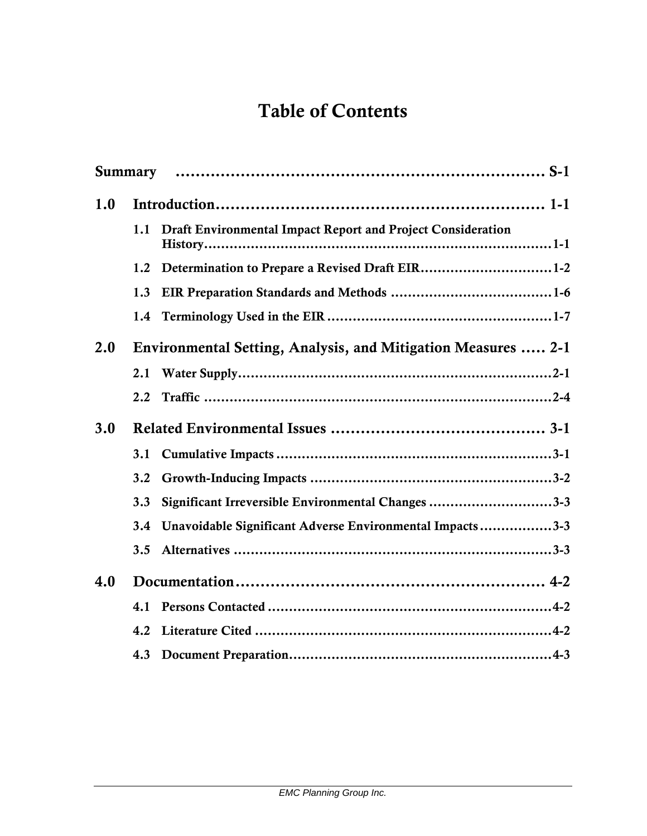## Table of Contents

| <b>Summary</b> |     |                                                                      |
|----------------|-----|----------------------------------------------------------------------|
| 1.0            |     |                                                                      |
|                | 1.1 | Draft Environmental Impact Report and Project Consideration          |
|                | 1.2 | Determination to Prepare a Revised Draft EIR1-2                      |
|                | 1.3 |                                                                      |
|                | 1.4 |                                                                      |
| 2.0            |     | <b>Environmental Setting, Analysis, and Mitigation Measures  2-1</b> |
|                | 2.1 |                                                                      |
|                | 2.2 |                                                                      |
| 3.0            |     |                                                                      |
|                | 3.1 |                                                                      |
|                | 3.2 |                                                                      |
|                | 3.3 | Significant Irreversible Environmental Changes 3-3                   |
|                | 3.4 | Unavoidable Significant Adverse Environmental Impacts3-3             |
|                | 3.5 |                                                                      |
| 4.0            |     |                                                                      |
|                | 4.1 |                                                                      |
|                | 4.2 |                                                                      |
|                |     |                                                                      |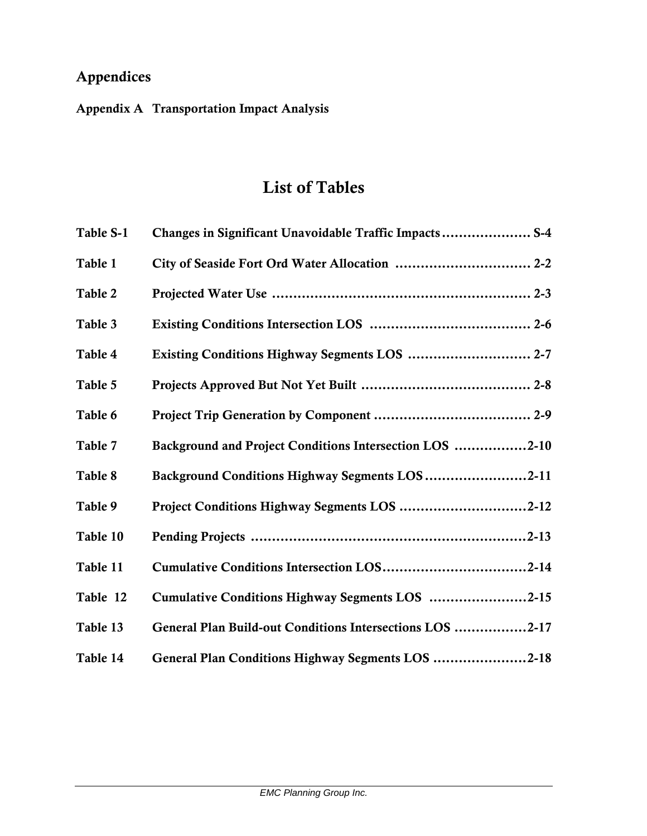## Appendices

## Appendix A Transportation Impact Analysis

## List of Tables

| Table S-1 | Changes in Significant Unavoidable Traffic Impacts S-4   |
|-----------|----------------------------------------------------------|
| Table 1   |                                                          |
| Table 2   |                                                          |
| Table 3   |                                                          |
| Table 4   | Existing Conditions Highway Segments LOS  2-7            |
| Table 5   |                                                          |
| Table 6   |                                                          |
| Table 7   | Background and Project Conditions Intersection LOS 2-10  |
| Table 8   | Background Conditions Highway Segments LOS 2-11          |
| Table 9   |                                                          |
| Table 10  |                                                          |
| Table 11  |                                                          |
| Table 12  | Cumulative Conditions Highway Segments LOS 2-15          |
| Table 13  | General Plan Build-out Conditions Intersections LOS 2-17 |
| Table 14  | General Plan Conditions Highway Segments LOS 2-18        |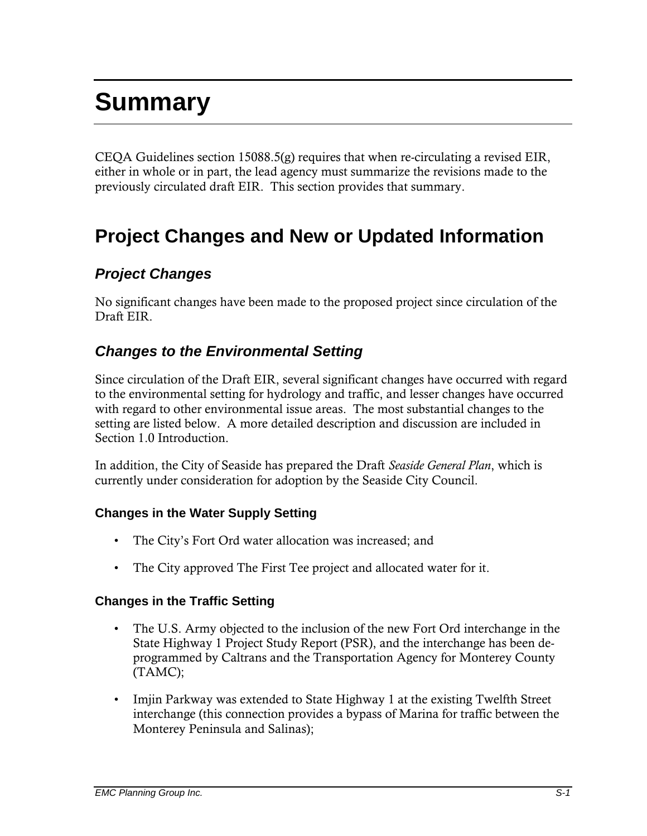# **Summary**

CEQA Guidelines section 15088.5(g) requires that when re-circulating a revised EIR, either in whole or in part, the lead agency must summarize the revisions made to the previously circulated draft EIR. This section provides that summary.

## **Project Changes and New or Updated Information**

## *Project Changes*

No significant changes have been made to the proposed project since circulation of the Draft EIR.

### *Changes to the Environmental Setting*

Since circulation of the Draft EIR, several significant changes have occurred with regard to the environmental setting for hydrology and traffic, and lesser changes have occurred with regard to other environmental issue areas. The most substantial changes to the setting are listed below. A more detailed description and discussion are included in Section 1.0 Introduction.

In addition, the City of Seaside has prepared the Draft *Seaside General Plan*, which is currently under consideration for adoption by the Seaside City Council.

#### **Changes in the Water Supply Setting**

- The City's Fort Ord water allocation was increased; and
- The City approved The First Tee project and allocated water for it.

#### **Changes in the Traffic Setting**

- The U.S. Army objected to the inclusion of the new Fort Ord interchange in the State Highway 1 Project Study Report (PSR), and the interchange has been deprogrammed by Caltrans and the Transportation Agency for Monterey County (TAMC);
- Imjin Parkway was extended to State Highway 1 at the existing Twelfth Street interchange (this connection provides a bypass of Marina for traffic between the Monterey Peninsula and Salinas);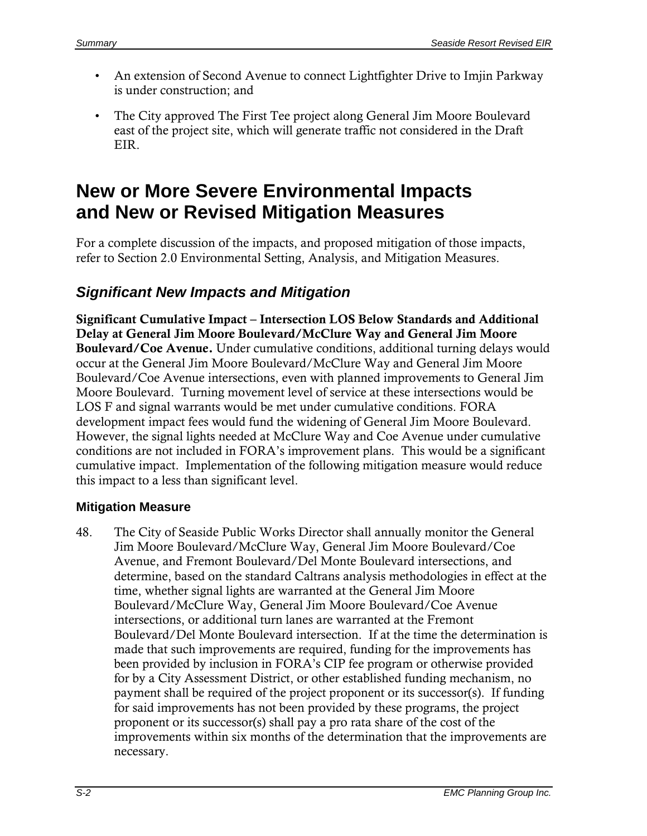- An extension of Second Avenue to connect Lightfighter Drive to Imjin Parkway is under construction; and
- The City approved The First Tee project along General Jim Moore Boulevard east of the project site, which will generate traffic not considered in the Draft EIR.

## **New or More Severe Environmental Impacts and New or Revised Mitigation Measures**

For a complete discussion of the impacts, and proposed mitigation of those impacts, refer to Section 2.0 Environmental Setting, Analysis, and Mitigation Measures.

## *Significant New Impacts and Mitigation*

Significant Cumulative Impact – Intersection LOS Below Standards and Additional Delay at General Jim Moore Boulevard/McClure Way and General Jim Moore Boulevard/Coe Avenue. Under cumulative conditions, additional turning delays would occur at the General Jim Moore Boulevard/McClure Way and General Jim Moore Boulevard/Coe Avenue intersections, even with planned improvements to General Jim Moore Boulevard. Turning movement level of service at these intersections would be LOS F and signal warrants would be met under cumulative conditions. FORA development impact fees would fund the widening of General Jim Moore Boulevard. However, the signal lights needed at McClure Way and Coe Avenue under cumulative conditions are not included in FORA's improvement plans. This would be a significant cumulative impact. Implementation of the following mitigation measure would reduce this impact to a less than significant level.

#### **Mitigation Measure**

48. The City of Seaside Public Works Director shall annually monitor the General Jim Moore Boulevard/McClure Way, General Jim Moore Boulevard/Coe Avenue, and Fremont Boulevard/Del Monte Boulevard intersections, and determine, based on the standard Caltrans analysis methodologies in effect at the time, whether signal lights are warranted at the General Jim Moore Boulevard/McClure Way, General Jim Moore Boulevard/Coe Avenue intersections, or additional turn lanes are warranted at the Fremont Boulevard/Del Monte Boulevard intersection. If at the time the determination is made that such improvements are required, funding for the improvements has been provided by inclusion in FORA's CIP fee program or otherwise provided for by a City Assessment District, or other established funding mechanism, no payment shall be required of the project proponent or its successor(s). If funding for said improvements has not been provided by these programs, the project proponent or its successor(s) shall pay a pro rata share of the cost of the improvements within six months of the determination that the improvements are necessary.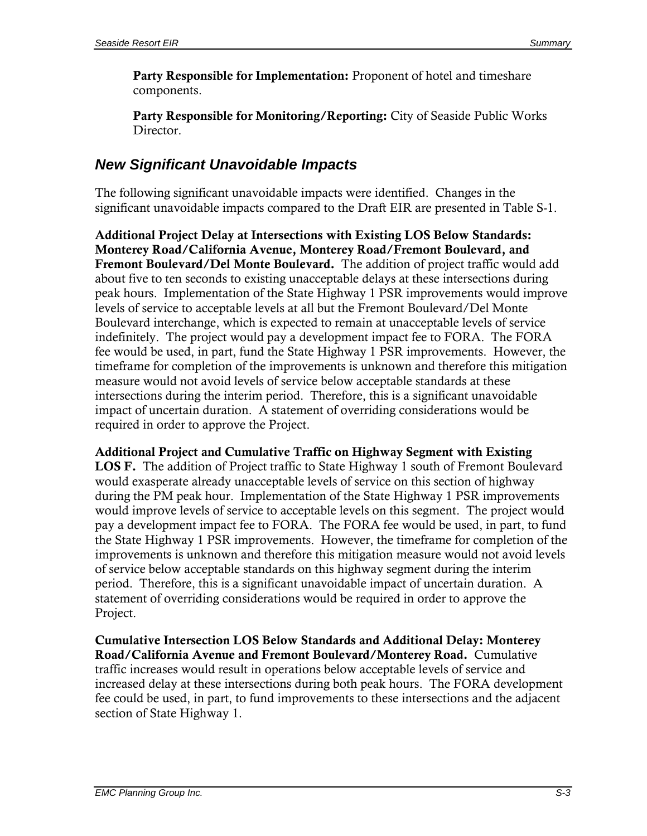Party Responsible for Implementation: Proponent of hotel and timeshare components.

Party Responsible for Monitoring/Reporting: City of Seaside Public Works Director.

### *New Significant Unavoidable Impacts*

The following significant unavoidable impacts were identified. Changes in the significant unavoidable impacts compared to the Draft EIR are presented in Table S-1.

Additional Project Delay at Intersections with Existing LOS Below Standards: Monterey Road/California Avenue, Monterey Road/Fremont Boulevard, and Fremont Boulevard/Del Monte Boulevard. The addition of project traffic would add about five to ten seconds to existing unacceptable delays at these intersections during peak hours. Implementation of the State Highway 1 PSR improvements would improve levels of service to acceptable levels at all but the Fremont Boulevard/Del Monte Boulevard interchange, which is expected to remain at unacceptable levels of service indefinitely. The project would pay a development impact fee to FORA. The FORA fee would be used, in part, fund the State Highway 1 PSR improvements. However, the timeframe for completion of the improvements is unknown and therefore this mitigation measure would not avoid levels of service below acceptable standards at these intersections during the interim period. Therefore, this is a significant unavoidable impact of uncertain duration. A statement of overriding considerations would be required in order to approve the Project.

#### Additional Project and Cumulative Traffic on Highway Segment with Existing

LOS F. The addition of Project traffic to State Highway 1 south of Fremont Boulevard would exasperate already unacceptable levels of service on this section of highway during the PM peak hour. Implementation of the State Highway 1 PSR improvements would improve levels of service to acceptable levels on this segment. The project would pay a development impact fee to FORA. The FORA fee would be used, in part, to fund the State Highway 1 PSR improvements. However, the timeframe for completion of the improvements is unknown and therefore this mitigation measure would not avoid levels of service below acceptable standards on this highway segment during the interim period. Therefore, this is a significant unavoidable impact of uncertain duration. A statement of overriding considerations would be required in order to approve the Project.

Cumulative Intersection LOS Below Standards and Additional Delay: Monterey Road/California Avenue and Fremont Boulevard/Monterey Road. Cumulative traffic increases would result in operations below acceptable levels of service and increased delay at these intersections during both peak hours. The FORA development fee could be used, in part, to fund improvements to these intersections and the adjacent section of State Highway 1.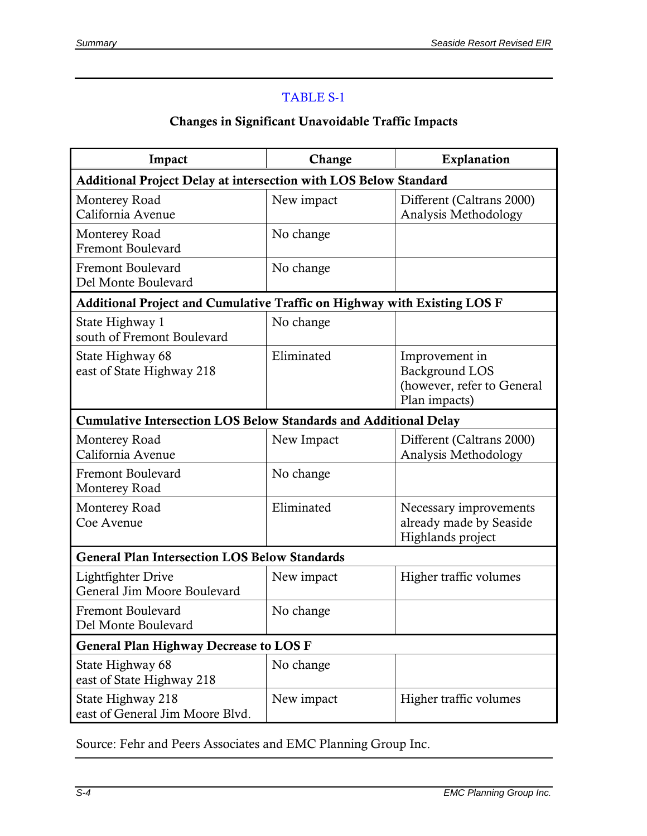#### TABLE S-1

## Changes in Significant Unavoidable Traffic Impacts

| Impact                                                                   | Change     | Explanation                                                                     |  |  |  |  |  |
|--------------------------------------------------------------------------|------------|---------------------------------------------------------------------------------|--|--|--|--|--|
| Additional Project Delay at intersection with LOS Below Standard         |            |                                                                                 |  |  |  |  |  |
| Monterey Road<br>California Avenue                                       | New impact | Different (Caltrans 2000)<br>Analysis Methodology                               |  |  |  |  |  |
| Monterey Road<br><b>Fremont Boulevard</b>                                | No change  |                                                                                 |  |  |  |  |  |
| <b>Fremont Boulevard</b><br>Del Monte Boulevard                          | No change  |                                                                                 |  |  |  |  |  |
| Additional Project and Cumulative Traffic on Highway with Existing LOS F |            |                                                                                 |  |  |  |  |  |
| State Highway 1<br>south of Fremont Boulevard                            | No change  |                                                                                 |  |  |  |  |  |
| State Highway 68<br>east of State Highway 218                            | Eliminated | Improvement in<br>Background LOS<br>(however, refer to General<br>Plan impacts) |  |  |  |  |  |
| <b>Cumulative Intersection LOS Below Standards and Additional Delay</b>  |            |                                                                                 |  |  |  |  |  |
| Monterey Road<br>California Avenue                                       | New Impact | Different (Caltrans 2000)<br>Analysis Methodology                               |  |  |  |  |  |
| Fremont Boulevard<br>Monterey Road                                       | No change  |                                                                                 |  |  |  |  |  |
| Monterey Road<br>Coe Avenue                                              | Eliminated | Necessary improvements<br>already made by Seaside<br>Highlands project          |  |  |  |  |  |
| <b>General Plan Intersection LOS Below Standards</b>                     |            |                                                                                 |  |  |  |  |  |
| Lightfighter Drive<br>General Jim Moore Boulevard                        | New impact | Higher traffic volumes                                                          |  |  |  |  |  |
| Fremont Boulevard<br>Del Monte Boulevard                                 | No change  |                                                                                 |  |  |  |  |  |
| <b>General Plan Highway Decrease to LOS F</b>                            |            |                                                                                 |  |  |  |  |  |
| State Highway 68<br>east of State Highway 218                            | No change  |                                                                                 |  |  |  |  |  |
| State Highway 218<br>east of General Jim Moore Blvd.                     | New impact | Higher traffic volumes                                                          |  |  |  |  |  |

Source: Fehr and Peers Associates and EMC Planning Group Inc.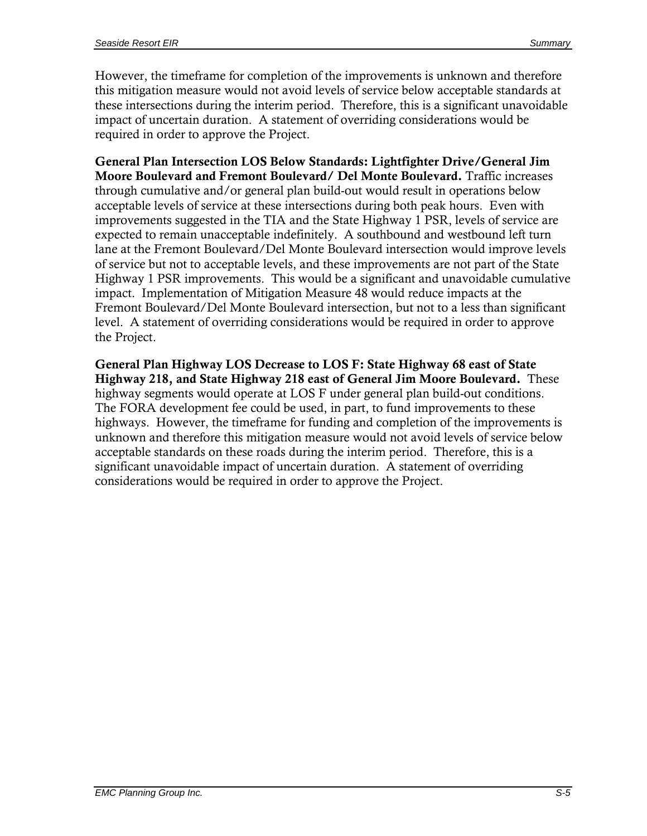However, the timeframe for completion of the improvements is unknown and therefore this mitigation measure would not avoid levels of service below acceptable standards at these intersections during the interim period. Therefore, this is a significant unavoidable impact of uncertain duration. A statement of overriding considerations would be required in order to approve the Project.

General Plan Intersection LOS Below Standards: Lightfighter Drive/General Jim Moore Boulevard and Fremont Boulevard/ Del Monte Boulevard. Traffic increases through cumulative and/or general plan build-out would result in operations below acceptable levels of service at these intersections during both peak hours. Even with improvements suggested in the TIA and the State Highway 1 PSR, levels of service are expected to remain unacceptable indefinitely. A southbound and westbound left turn lane at the Fremont Boulevard/Del Monte Boulevard intersection would improve levels of service but not to acceptable levels, and these improvements are not part of the State Highway 1 PSR improvements. This would be a significant and unavoidable cumulative impact. Implementation of Mitigation Measure 48 would reduce impacts at the Fremont Boulevard/Del Monte Boulevard intersection, but not to a less than significant level. A statement of overriding considerations would be required in order to approve the Project.

General Plan Highway LOS Decrease to LOS F: State Highway 68 east of State Highway 218, and State Highway 218 east of General Jim Moore Boulevard. These highway segments would operate at LOS F under general plan build-out conditions. The FORA development fee could be used, in part, to fund improvements to these highways. However, the timeframe for funding and completion of the improvements is unknown and therefore this mitigation measure would not avoid levels of service below acceptable standards on these roads during the interim period. Therefore, this is a significant unavoidable impact of uncertain duration. A statement of overriding considerations would be required in order to approve the Project.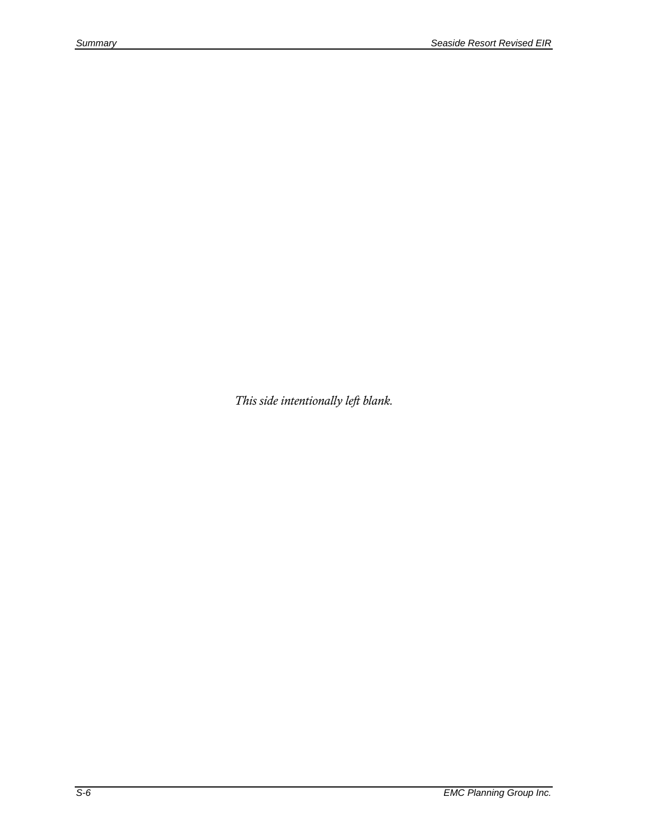*This side intentionally left blank.*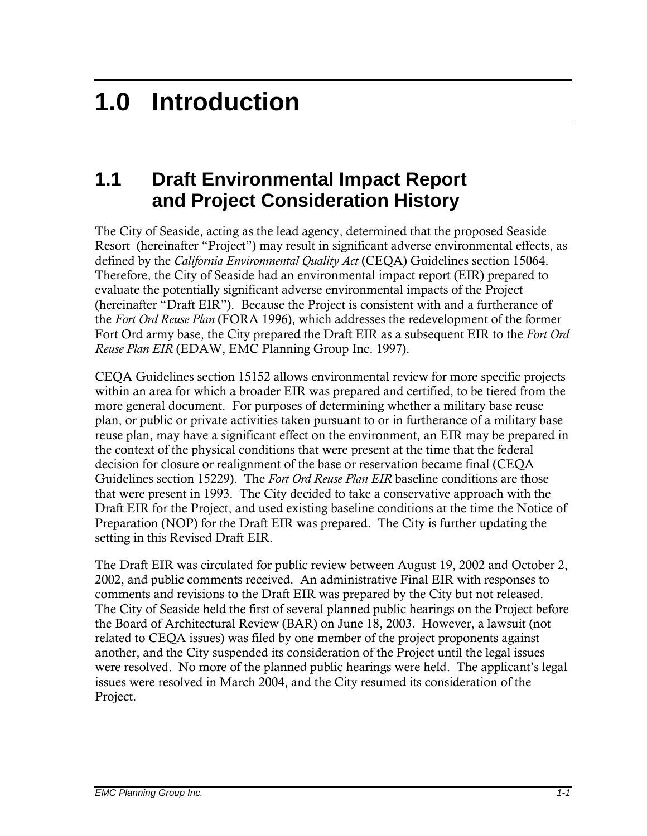## **1.1 Draft Environmental Impact Report and Project Consideration History**

The City of Seaside, acting as the lead agency, determined that the proposed Seaside Resort (hereinafter "Project") may result in significant adverse environmental effects, as defined by the *California Environmental Quality Act* (CEQA) Guidelines section 15064. Therefore, the City of Seaside had an environmental impact report (EIR) prepared to evaluate the potentially significant adverse environmental impacts of the Project (hereinafter "Draft EIR"). Because the Project is consistent with and a furtherance of the *Fort Ord Reuse Plan* (FORA 1996), which addresses the redevelopment of the former Fort Ord army base, the City prepared the Draft EIR as a subsequent EIR to the *Fort Ord Reuse Plan EIR* (EDAW, EMC Planning Group Inc. 1997).

CEQA Guidelines section 15152 allows environmental review for more specific projects within an area for which a broader EIR was prepared and certified, to be tiered from the more general document. For purposes of determining whether a military base reuse plan, or public or private activities taken pursuant to or in furtherance of a military base reuse plan, may have a significant effect on the environment, an EIR may be prepared in the context of the physical conditions that were present at the time that the federal decision for closure or realignment of the base or reservation became final (CEQA Guidelines section 15229). The *Fort Ord Reuse Plan EIR* baseline conditions are those that were present in 1993. The City decided to take a conservative approach with the Draft EIR for the Project, and used existing baseline conditions at the time the Notice of Preparation (NOP) for the Draft EIR was prepared. The City is further updating the setting in this Revised Draft EIR.

The Draft EIR was circulated for public review between August 19, 2002 and October 2, 2002, and public comments received. An administrative Final EIR with responses to comments and revisions to the Draft EIR was prepared by the City but not released. The City of Seaside held the first of several planned public hearings on the Project before the Board of Architectural Review (BAR) on June 18, 2003. However, a lawsuit (not related to CEQA issues) was filed by one member of the project proponents against another, and the City suspended its consideration of the Project until the legal issues were resolved. No more of the planned public hearings were held. The applicant's legal issues were resolved in March 2004, and the City resumed its consideration of the Project.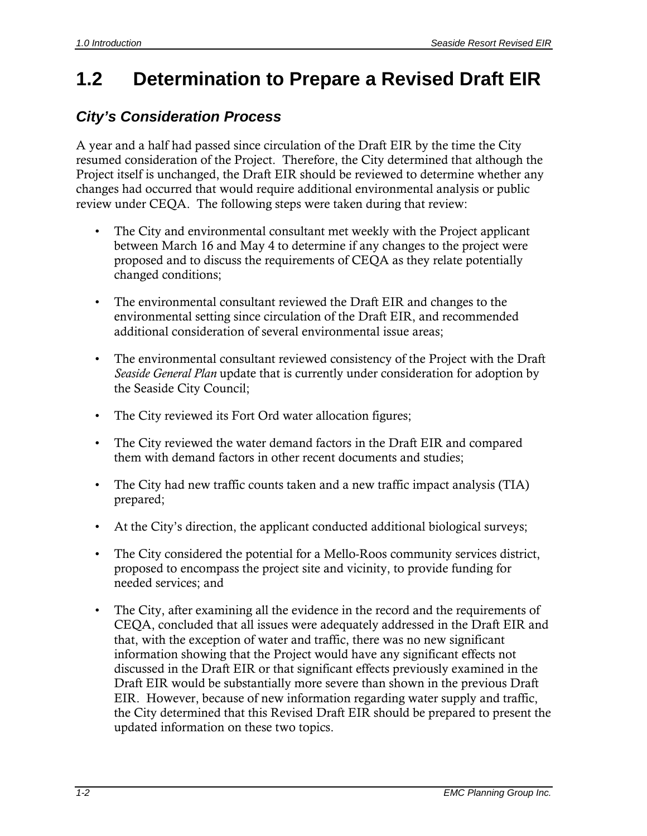## **1.2 Determination to Prepare a Revised Draft EIR**

## *City's Consideration Process*

A year and a half had passed since circulation of the Draft EIR by the time the City resumed consideration of the Project. Therefore, the City determined that although the Project itself is unchanged, the Draft EIR should be reviewed to determine whether any changes had occurred that would require additional environmental analysis or public review under CEQA. The following steps were taken during that review:

- The City and environmental consultant met weekly with the Project applicant between March 16 and May 4 to determine if any changes to the project were proposed and to discuss the requirements of CEQA as they relate potentially changed conditions;
- The environmental consultant reviewed the Draft EIR and changes to the environmental setting since circulation of the Draft EIR, and recommended additional consideration of several environmental issue areas;
- The environmental consultant reviewed consistency of the Project with the Draft *Seaside General Plan* update that is currently under consideration for adoption by the Seaside City Council;
- The City reviewed its Fort Ord water allocation figures;
- The City reviewed the water demand factors in the Draft EIR and compared them with demand factors in other recent documents and studies;
- The City had new traffic counts taken and a new traffic impact analysis (TIA) prepared;
- At the City's direction, the applicant conducted additional biological surveys;
- The City considered the potential for a Mello-Roos community services district, proposed to encompass the project site and vicinity, to provide funding for needed services; and
- The City, after examining all the evidence in the record and the requirements of CEQA, concluded that all issues were adequately addressed in the Draft EIR and that, with the exception of water and traffic, there was no new significant information showing that the Project would have any significant effects not discussed in the Draft EIR or that significant effects previously examined in the Draft EIR would be substantially more severe than shown in the previous Draft EIR. However, because of new information regarding water supply and traffic, the City determined that this Revised Draft EIR should be prepared to present the updated information on these two topics.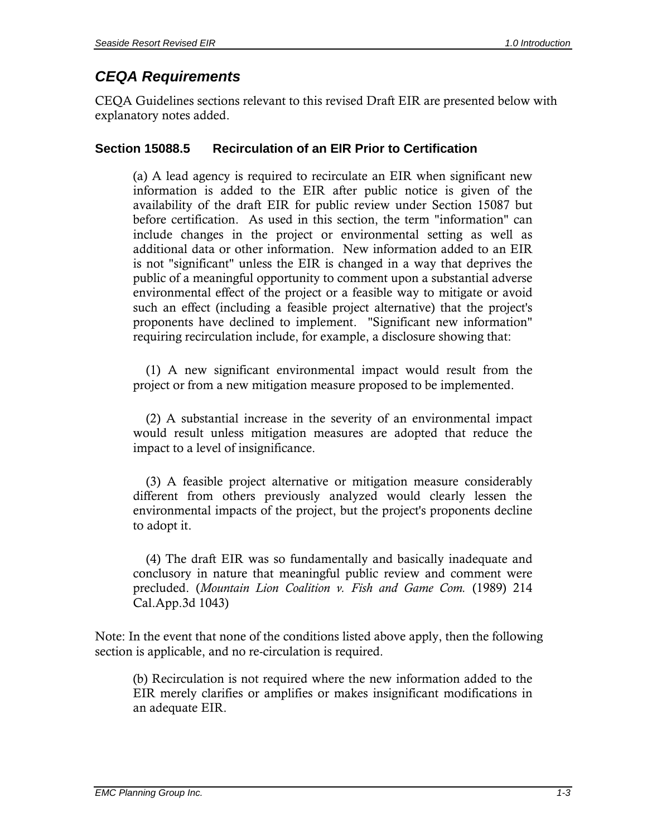### *CEQA Requirements*

CEQA Guidelines sections relevant to this revised Draft EIR are presented below with explanatory notes added.

#### **Section 15088.5 Recirculation of an EIR Prior to Certification**

(a) A lead agency is required to recirculate an EIR when significant new information is added to the EIR after public notice is given of the availability of the draft EIR for public review under Section 15087 but before certification. As used in this section, the term "information" can include changes in the project or environmental setting as well as additional data or other information. New information added to an EIR is not "significant" unless the EIR is changed in a way that deprives the public of a meaningful opportunity to comment upon a substantial adverse environmental effect of the project or a feasible way to mitigate or avoid such an effect (including a feasible project alternative) that the project's proponents have declined to implement. "Significant new information" requiring recirculation include, for example, a disclosure showing that:

 (1) A new significant environmental impact would result from the project or from a new mitigation measure proposed to be implemented.

 (2) A substantial increase in the severity of an environmental impact would result unless mitigation measures are adopted that reduce the impact to a level of insignificance.

 (3) A feasible project alternative or mitigation measure considerably different from others previously analyzed would clearly lessen the environmental impacts of the project, but the project's proponents decline to adopt it.

 (4) The draft EIR was so fundamentally and basically inadequate and conclusory in nature that meaningful public review and comment were precluded. (*Mountain Lion Coalition v. Fish and Game Com.* (1989) 214 Cal.App.3d 1043)

Note: In the event that none of the conditions listed above apply, then the following section is applicable, and no re-circulation is required.

(b) Recirculation is not required where the new information added to the EIR merely clarifies or amplifies or makes insignificant modifications in an adequate EIR.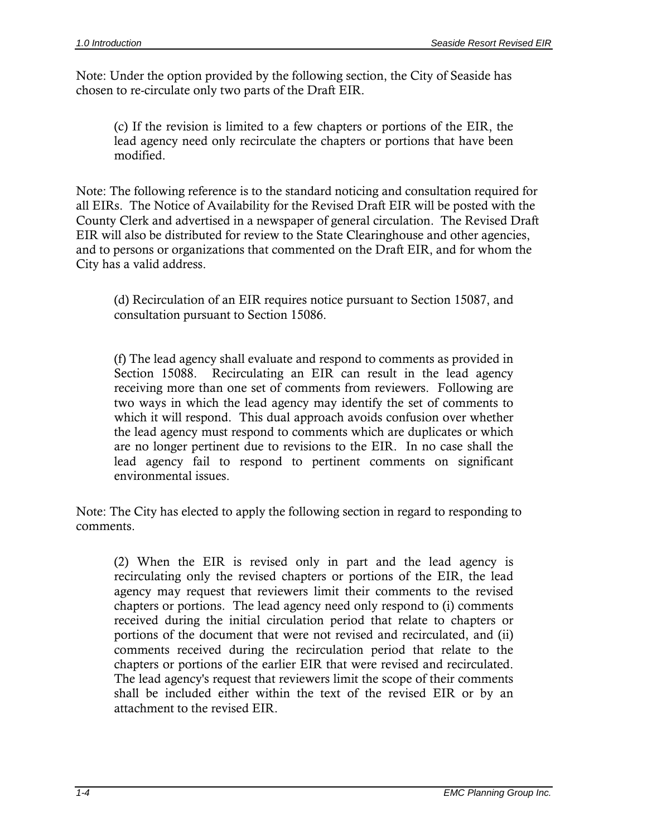Note: Under the option provided by the following section, the City of Seaside has chosen to re-circulate only two parts of the Draft EIR.

(c) If the revision is limited to a few chapters or portions of the EIR, the lead agency need only recirculate the chapters or portions that have been modified.

Note: The following reference is to the standard noticing and consultation required for all EIRs. The Notice of Availability for the Revised Draft EIR will be posted with the County Clerk and advertised in a newspaper of general circulation. The Revised Draft EIR will also be distributed for review to the State Clearinghouse and other agencies, and to persons or organizations that commented on the Draft EIR, and for whom the City has a valid address.

(d) Recirculation of an EIR requires notice pursuant to Section 15087, and consultation pursuant to Section 15086.

(f) The lead agency shall evaluate and respond to comments as provided in Section 15088. Recirculating an EIR can result in the lead agency receiving more than one set of comments from reviewers. Following are two ways in which the lead agency may identify the set of comments to which it will respond. This dual approach avoids confusion over whether the lead agency must respond to comments which are duplicates or which are no longer pertinent due to revisions to the EIR. In no case shall the lead agency fail to respond to pertinent comments on significant environmental issues.

Note: The City has elected to apply the following section in regard to responding to comments.

(2) When the EIR is revised only in part and the lead agency is recirculating only the revised chapters or portions of the EIR, the lead agency may request that reviewers limit their comments to the revised chapters or portions. The lead agency need only respond to (i) comments received during the initial circulation period that relate to chapters or portions of the document that were not revised and recirculated, and (ii) comments received during the recirculation period that relate to the chapters or portions of the earlier EIR that were revised and recirculated. The lead agency's request that reviewers limit the scope of their comments shall be included either within the text of the revised EIR or by an attachment to the revised EIR.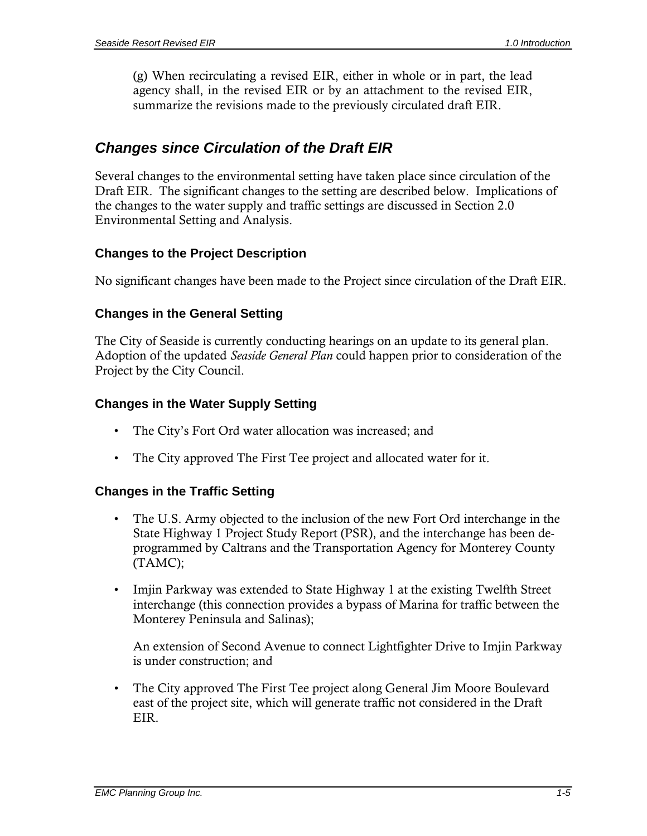(g) When recirculating a revised EIR, either in whole or in part, the lead agency shall, in the revised EIR or by an attachment to the revised EIR, summarize the revisions made to the previously circulated draft EIR.

### *Changes since Circulation of the Draft EIR*

Several changes to the environmental setting have taken place since circulation of the Draft EIR. The significant changes to the setting are described below. Implications of the changes to the water supply and traffic settings are discussed in Section 2.0 Environmental Setting and Analysis.

#### **Changes to the Project Description**

No significant changes have been made to the Project since circulation of the Draft EIR.

#### **Changes in the General Setting**

The City of Seaside is currently conducting hearings on an update to its general plan. Adoption of the updated *Seaside General Plan* could happen prior to consideration of the Project by the City Council.

#### **Changes in the Water Supply Setting**

- The City's Fort Ord water allocation was increased; and
- The City approved The First Tee project and allocated water for it.

#### **Changes in the Traffic Setting**

- The U.S. Army objected to the inclusion of the new Fort Ord interchange in the State Highway 1 Project Study Report (PSR), and the interchange has been deprogrammed by Caltrans and the Transportation Agency for Monterey County (TAMC);
- Imjin Parkway was extended to State Highway 1 at the existing Twelfth Street interchange (this connection provides a bypass of Marina for traffic between the Monterey Peninsula and Salinas);

 An extension of Second Avenue to connect Lightfighter Drive to Imjin Parkway is under construction; and

• The City approved The First Tee project along General Jim Moore Boulevard east of the project site, which will generate traffic not considered in the Draft EIR.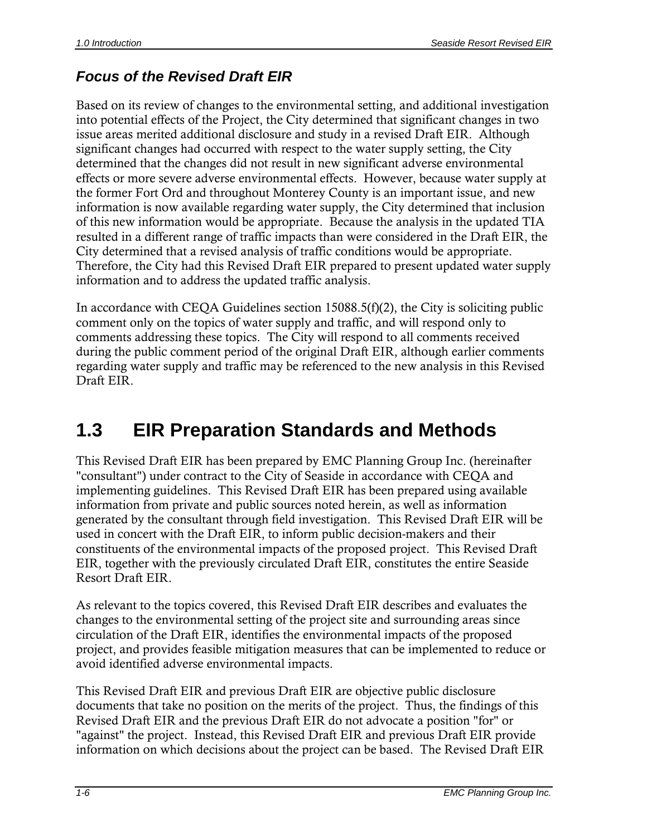## *Focus of the Revised Draft EIR*

Based on its review of changes to the environmental setting, and additional investigation into potential effects of the Project, the City determined that significant changes in two issue areas merited additional disclosure and study in a revised Draft EIR. Although significant changes had occurred with respect to the water supply setting, the City determined that the changes did not result in new significant adverse environmental effects or more severe adverse environmental effects. However, because water supply at the former Fort Ord and throughout Monterey County is an important issue, and new information is now available regarding water supply, the City determined that inclusion of this new information would be appropriate. Because the analysis in the updated TIA resulted in a different range of traffic impacts than were considered in the Draft EIR, the City determined that a revised analysis of traffic conditions would be appropriate. Therefore, the City had this Revised Draft EIR prepared to present updated water supply information and to address the updated traffic analysis.

In accordance with CEQA Guidelines section 15088.5(f)(2), the City is soliciting public comment only on the topics of water supply and traffic, and will respond only to comments addressing these topics. The City will respond to all comments received during the public comment period of the original Draft EIR, although earlier comments regarding water supply and traffic may be referenced to the new analysis in this Revised Draft EIR.

## **1.3 EIR Preparation Standards and Methods**

This Revised Draft EIR has been prepared by EMC Planning Group Inc. (hereinafter "consultant") under contract to the City of Seaside in accordance with CEQA and implementing guidelines. This Revised Draft EIR has been prepared using available information from private and public sources noted herein, as well as information generated by the consultant through field investigation. This Revised Draft EIR will be used in concert with the Draft EIR, to inform public decision-makers and their constituents of the environmental impacts of the proposed project. This Revised Draft EIR, together with the previously circulated Draft EIR, constitutes the entire Seaside Resort Draft EIR.

As relevant to the topics covered, this Revised Draft EIR describes and evaluates the changes to the environmental setting of the project site and surrounding areas since circulation of the Draft EIR, identifies the environmental impacts of the proposed project, and provides feasible mitigation measures that can be implemented to reduce or avoid identified adverse environmental impacts.

This Revised Draft EIR and previous Draft EIR are objective public disclosure documents that take no position on the merits of the project. Thus, the findings of this Revised Draft EIR and the previous Draft EIR do not advocate a position "for" or "against" the project. Instead, this Revised Draft EIR and previous Draft EIR provide information on which decisions about the project can be based. The Revised Draft EIR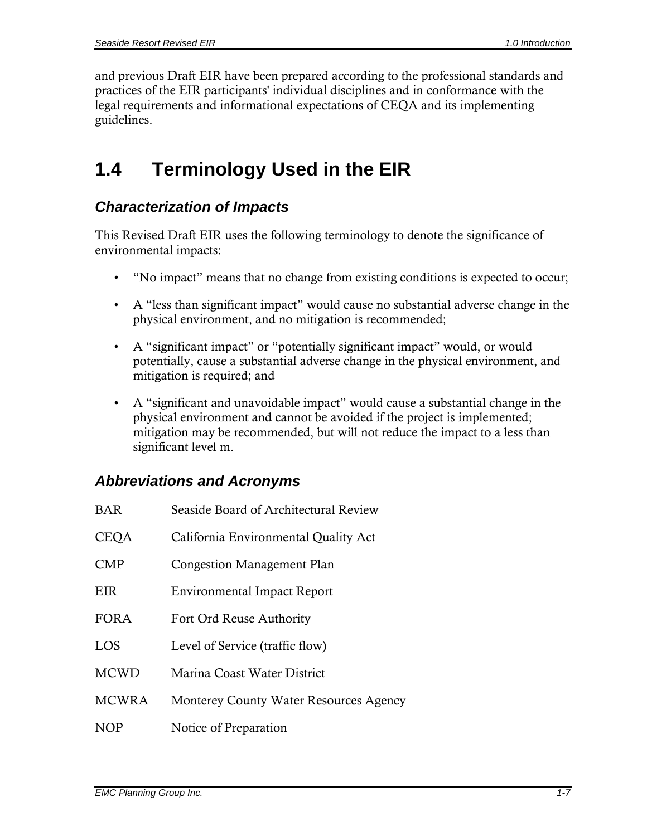and previous Draft EIR have been prepared according to the professional standards and practices of the EIR participants' individual disciplines and in conformance with the legal requirements and informational expectations of CEQA and its implementing guidelines.

## **1.4 Terminology Used in the EIR**

### *Characterization of Impacts*

This Revised Draft EIR uses the following terminology to denote the significance of environmental impacts:

- "No impact" means that no change from existing conditions is expected to occur;
- A "less than significant impact" would cause no substantial adverse change in the physical environment, and no mitigation is recommended;
- A "significant impact" or "potentially significant impact" would, or would potentially, cause a substantial adverse change in the physical environment, and mitigation is required; and
- A "significant and unavoidable impact" would cause a substantial change in the physical environment and cannot be avoided if the project is implemented; mitigation may be recommended, but will not reduce the impact to a less than significant level m.

### *Abbreviations and Acronyms*

| <b>BAR</b>   | Seaside Board of Architectural Review  |
|--------------|----------------------------------------|
| <b>CEOA</b>  | California Environmental Quality Act   |
| <b>CMP</b>   | <b>Congestion Management Plan</b>      |
| <b>EIR</b>   | <b>Environmental Impact Report</b>     |
| <b>FORA</b>  | Fort Ord Reuse Authority               |
| LOS          | Level of Service (traffic flow)        |
| <b>MCWD</b>  | Marina Coast Water District            |
| <b>MCWRA</b> | Monterey County Water Resources Agency |
| <b>NOP</b>   | Notice of Preparation                  |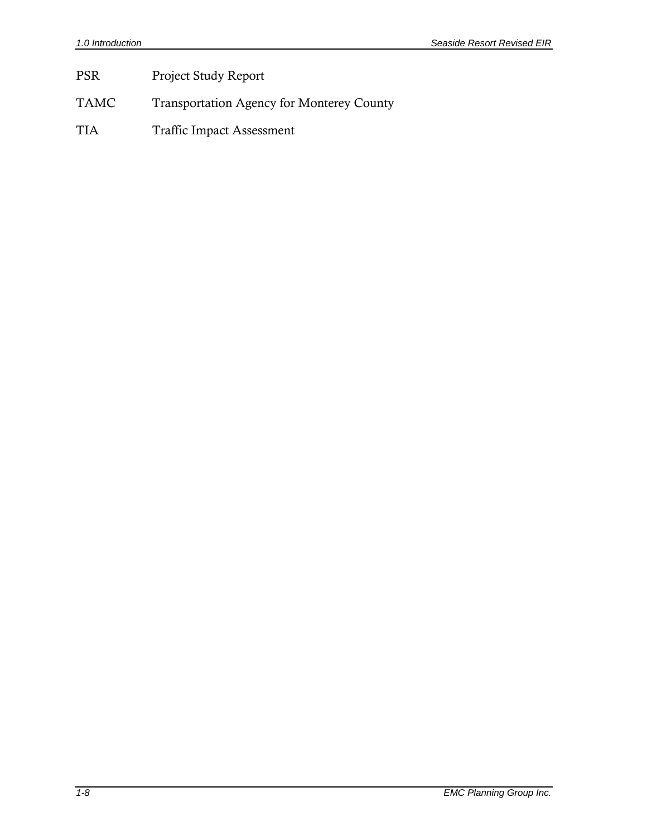PSR Project Study Report

TAMC Transportation Agency for Monterey County

TIA Traffic Impact Assessment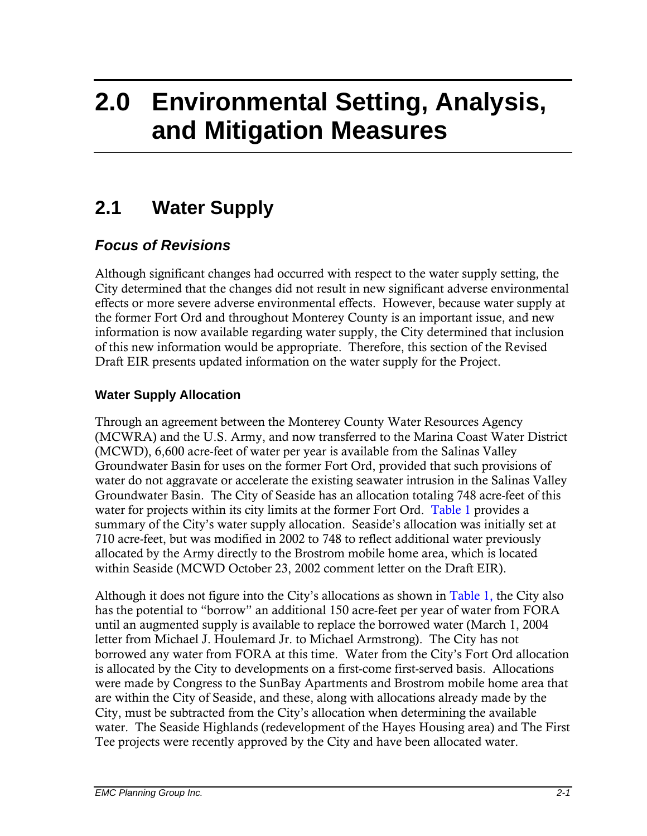# **2.0 Environmental Setting, Analysis, and Mitigation Measures**

## **2.1 Water Supply**

## *Focus of Revisions*

Although significant changes had occurred with respect to the water supply setting, the City determined that the changes did not result in new significant adverse environmental effects or more severe adverse environmental effects. However, because water supply at the former Fort Ord and throughout Monterey County is an important issue, and new information is now available regarding water supply, the City determined that inclusion of this new information would be appropriate. Therefore, this section of the Revised Draft EIR presents updated information on the water supply for the Project.

#### **Water Supply Allocation**

Through an agreement between the Monterey County Water Resources Agency (MCWRA) and the U.S. Army, and now transferred to the Marina Coast Water District (MCWD), 6,600 acre-feet of water per year is available from the Salinas Valley Groundwater Basin for uses on the former Fort Ord, provided that such provisions of water do not aggravate or accelerate the existing seawater intrusion in the Salinas Valley Groundwater Basin. The City of Seaside has an allocation totaling 748 acre-feet of this water for projects within its city limits at the former Fort Ord. Table 1 provides a summary of the City's water supply allocation. Seaside's allocation was initially set at 710 acre-feet, but was modified in 2002 to 748 to reflect additional water previously allocated by the Army directly to the Brostrom mobile home area, which is located within Seaside (MCWD October 23, 2002 comment letter on the Draft EIR).

Although it does not figure into the City's allocations as shown in Table 1, the City also has the potential to "borrow" an additional 150 acre-feet per year of water from FORA until an augmented supply is available to replace the borrowed water (March 1, 2004 letter from Michael J. Houlemard Jr. to Michael Armstrong). The City has not borrowed any water from FORA at this time. Water from the City's Fort Ord allocation is allocated by the City to developments on a first-come first-served basis. Allocations were made by Congress to the SunBay Apartments and Brostrom mobile home area that are within the City of Seaside, and these, along with allocations already made by the City, must be subtracted from the City's allocation when determining the available water. The Seaside Highlands (redevelopment of the Hayes Housing area) and The First Tee projects were recently approved by the City and have been allocated water.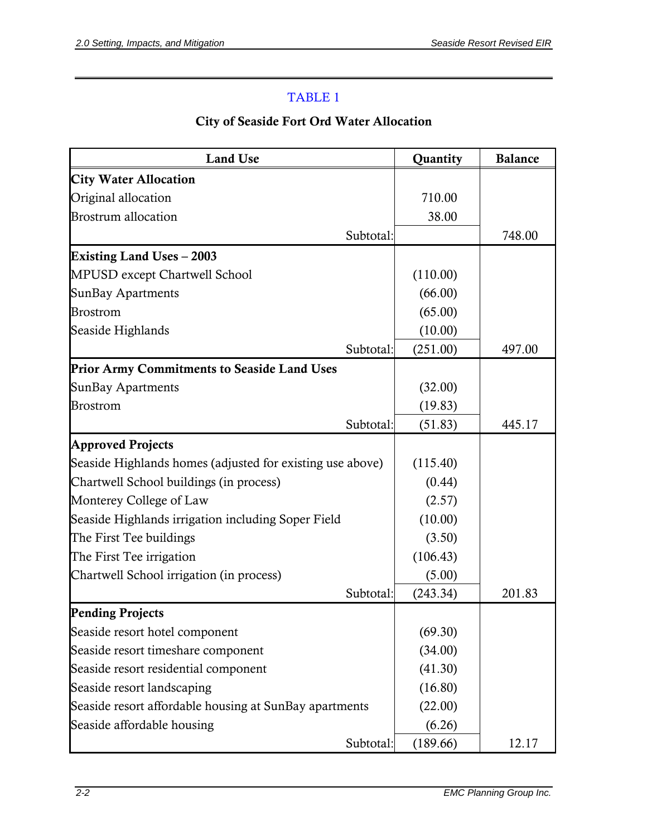#### TABLE 1

#### City of Seaside Fort Ord Water Allocation

| <b>Land Use</b>                                           | Quantity | <b>Balance</b> |
|-----------------------------------------------------------|----------|----------------|
| <b>City Water Allocation</b>                              |          |                |
| Original allocation                                       | 710.00   |                |
| <b>Brostrum</b> allocation                                | 38.00    |                |
| Subtotal:                                                 |          | 748.00         |
| <b>Existing Land Uses - 2003</b>                          |          |                |
| MPUSD except Chartwell School                             | (110.00) |                |
| <b>SunBay Apartments</b>                                  | (66.00)  |                |
| <b>Brostrom</b>                                           | (65.00)  |                |
| Seaside Highlands                                         | (10.00)  |                |
| Subtotal:                                                 | (251.00) | 497.00         |
| <b>Prior Army Commitments to Seaside Land Uses</b>        |          |                |
| <b>SunBay Apartments</b>                                  | (32.00)  |                |
| <b>Brostrom</b>                                           | (19.83)  |                |
| Subtotal:                                                 | (51.83)  | 445.17         |
| <b>Approved Projects</b>                                  |          |                |
| Seaside Highlands homes (adjusted for existing use above) | (115.40) |                |
| Chartwell School buildings (in process)                   | (0.44)   |                |
| Monterey College of Law                                   | (2.57)   |                |
| Seaside Highlands irrigation including Soper Field        | (10.00)  |                |
| The First Tee buildings                                   | (3.50)   |                |
| The First Tee irrigation                                  | (106.43) |                |
| Chartwell School irrigation (in process)                  | (5.00)   |                |
| Subtotal:                                                 | (243.34) | 201.83         |
| <b>Pending Projects</b>                                   |          |                |
| Seaside resort hotel component                            | (69.30)  |                |
| Seaside resort timeshare component                        | (34.00)  |                |
| Seaside resort residential component                      | (41.30)  |                |
| Seaside resort landscaping                                | (16.80)  |                |
| Seaside resort affordable housing at SunBay apartments    | (22.00)  |                |
| Seaside affordable housing                                | (6.26)   |                |
| Subtotal:                                                 | (189.66) | 12.17          |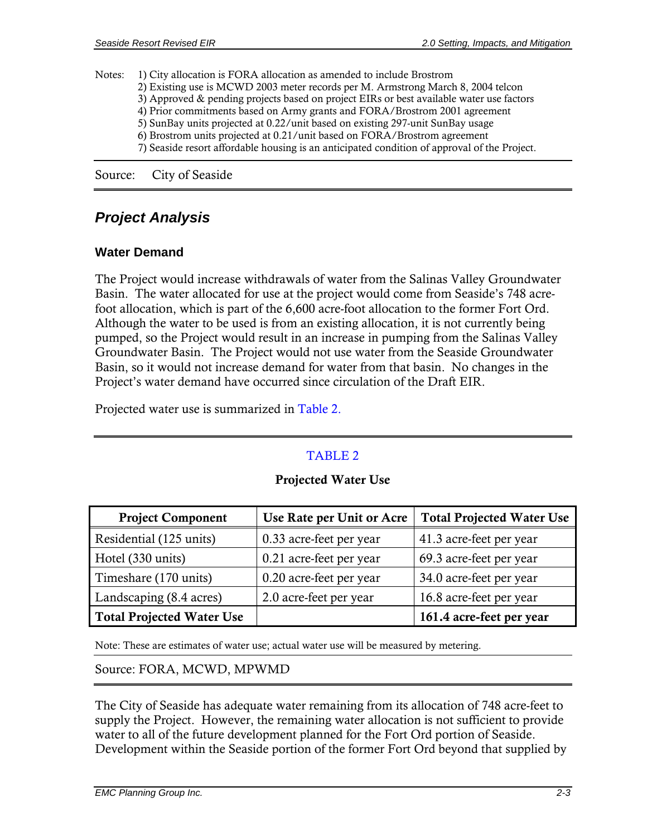Notes: 1) City allocation is FORA allocation as amended to include Brostrom 2) Existing use is MCWD 2003 meter records per M. Armstrong March 8, 2004 telcon 3) Approved & pending projects based on project EIRs or best available water use factors 4) Prior commitments based on Army grants and FORA/Brostrom 2001 agreement 5) SunBay units projected at 0.22/unit based on existing 297-unit SunBay usage 6) Brostrom units projected at 0.21/unit based on FORA/Brostrom agreement 7) Seaside resort affordable housing is an anticipated condition of approval of the Project.

Source: City of Seaside

### *Project Analysis*

#### **Water Demand**

The Project would increase withdrawals of water from the Salinas Valley Groundwater Basin. The water allocated for use at the project would come from Seaside's 748 acrefoot allocation, which is part of the 6,600 acre-foot allocation to the former Fort Ord. Although the water to be used is from an existing allocation, it is not currently being pumped, so the Project would result in an increase in pumping from the Salinas Valley Groundwater Basin. The Project would not use water from the Seaside Groundwater Basin, so it would not increase demand for water from that basin. No changes in the Project's water demand have occurred since circulation of the Draft EIR.

Projected water use is summarized in Table 2.

#### TABLE 2

#### Projected Water Use

| <b>Project Component</b>         | Use Rate per Unit or Acre | <b>Total Projected Water Use</b> |
|----------------------------------|---------------------------|----------------------------------|
| Residential (125 units)          | 0.33 acre-feet per year   | 41.3 acre-feet per year          |
| Hotel (330 units)                | 0.21 acre-feet per year   | 69.3 acre-feet per year          |
| Timeshare (170 units)            | 0.20 acre-feet per year   | 34.0 acre-feet per year          |
| Landscaping (8.4 acres)          | 2.0 acre-feet per year    | 16.8 acre-feet per year          |
| <b>Total Projected Water Use</b> |                           | 161.4 acre-feet per year         |

Note: These are estimates of water use; actual water use will be measured by metering.

Source: FORA, MCWD, MPWMD

The City of Seaside has adequate water remaining from its allocation of 748 acre-feet to supply the Project. However, the remaining water allocation is not sufficient to provide water to all of the future development planned for the Fort Ord portion of Seaside. Development within the Seaside portion of the former Fort Ord beyond that supplied by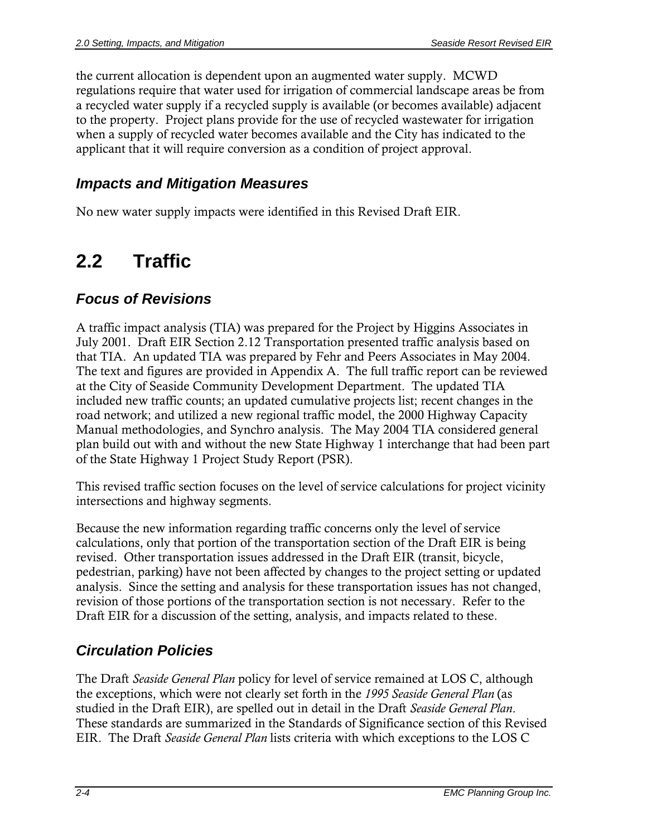the current allocation is dependent upon an augmented water supply. MCWD regulations require that water used for irrigation of commercial landscape areas be from a recycled water supply if a recycled supply is available (or becomes available) adjacent to the property. Project plans provide for the use of recycled wastewater for irrigation when a supply of recycled water becomes available and the City has indicated to the applicant that it will require conversion as a condition of project approval.

### *Impacts and Mitigation Measures*

No new water supply impacts were identified in this Revised Draft EIR.

## **2.2 Traffic**

### *Focus of Revisions*

A traffic impact analysis (TIA) was prepared for the Project by Higgins Associates in July 2001. Draft EIR Section 2.12 Transportation presented traffic analysis based on that TIA. An updated TIA was prepared by Fehr and Peers Associates in May 2004. The text and figures are provided in Appendix A. The full traffic report can be reviewed at the City of Seaside Community Development Department. The updated TIA included new traffic counts; an updated cumulative projects list; recent changes in the road network; and utilized a new regional traffic model, the 2000 Highway Capacity Manual methodologies, and Synchro analysis. The May 2004 TIA considered general plan build out with and without the new State Highway 1 interchange that had been part of the State Highway 1 Project Study Report (PSR).

This revised traffic section focuses on the level of service calculations for project vicinity intersections and highway segments.

Because the new information regarding traffic concerns only the level of service calculations, only that portion of the transportation section of the Draft EIR is being revised. Other transportation issues addressed in the Draft EIR (transit, bicycle, pedestrian, parking) have not been affected by changes to the project setting or updated analysis. Since the setting and analysis for these transportation issues has not changed, revision of those portions of the transportation section is not necessary. Refer to the Draft EIR for a discussion of the setting, analysis, and impacts related to these.

### *Circulation Policies*

The Draft *Seaside General Plan* policy for level of service remained at LOS C, although the exceptions, which were not clearly set forth in the *1995 Seaside General Plan* (as studied in the Draft EIR), are spelled out in detail in the Draft *Seaside General Plan*. These standards are summarized in the Standards of Significance section of this Revised EIR. The Draft *Seaside General Plan* lists criteria with which exceptions to the LOS C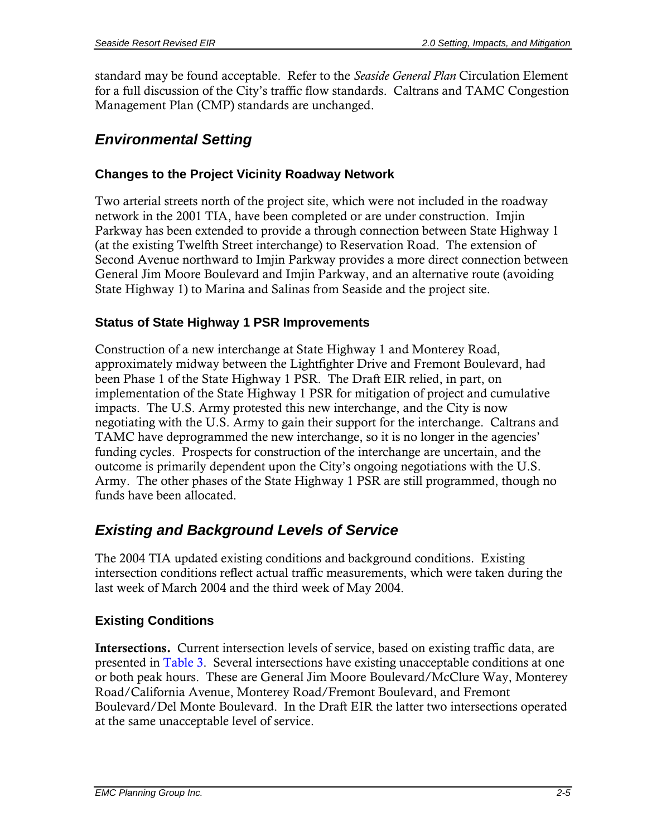standard may be found acceptable. Refer to the *Seaside General Plan* Circulation Element for a full discussion of the City's traffic flow standards. Caltrans and TAMC Congestion Management Plan (CMP) standards are unchanged.

## *Environmental Setting*

#### **Changes to the Project Vicinity Roadway Network**

Two arterial streets north of the project site, which were not included in the roadway network in the 2001 TIA, have been completed or are under construction. Imjin Parkway has been extended to provide a through connection between State Highway 1 (at the existing Twelfth Street interchange) to Reservation Road. The extension of Second Avenue northward to Imjin Parkway provides a more direct connection between General Jim Moore Boulevard and Imjin Parkway, and an alternative route (avoiding State Highway 1) to Marina and Salinas from Seaside and the project site.

#### **Status of State Highway 1 PSR Improvements**

Construction of a new interchange at State Highway 1 and Monterey Road, approximately midway between the Lightfighter Drive and Fremont Boulevard, had been Phase 1 of the State Highway 1 PSR. The Draft EIR relied, in part, on implementation of the State Highway 1 PSR for mitigation of project and cumulative impacts. The U.S. Army protested this new interchange, and the City is now negotiating with the U.S. Army to gain their support for the interchange. Caltrans and TAMC have deprogrammed the new interchange, so it is no longer in the agencies' funding cycles. Prospects for construction of the interchange are uncertain, and the outcome is primarily dependent upon the City's ongoing negotiations with the U.S. Army. The other phases of the State Highway 1 PSR are still programmed, though no funds have been allocated.

### *Existing and Background Levels of Service*

The 2004 TIA updated existing conditions and background conditions. Existing intersection conditions reflect actual traffic measurements, which were taken during the last week of March 2004 and the third week of May 2004.

#### **Existing Conditions**

Intersections. Current intersection levels of service, based on existing traffic data, are presented in Table 3. Several intersections have existing unacceptable conditions at one or both peak hours. These are General Jim Moore Boulevard/McClure Way, Monterey Road/California Avenue, Monterey Road/Fremont Boulevard, and Fremont Boulevard/Del Monte Boulevard. In the Draft EIR the latter two intersections operated at the same unacceptable level of service.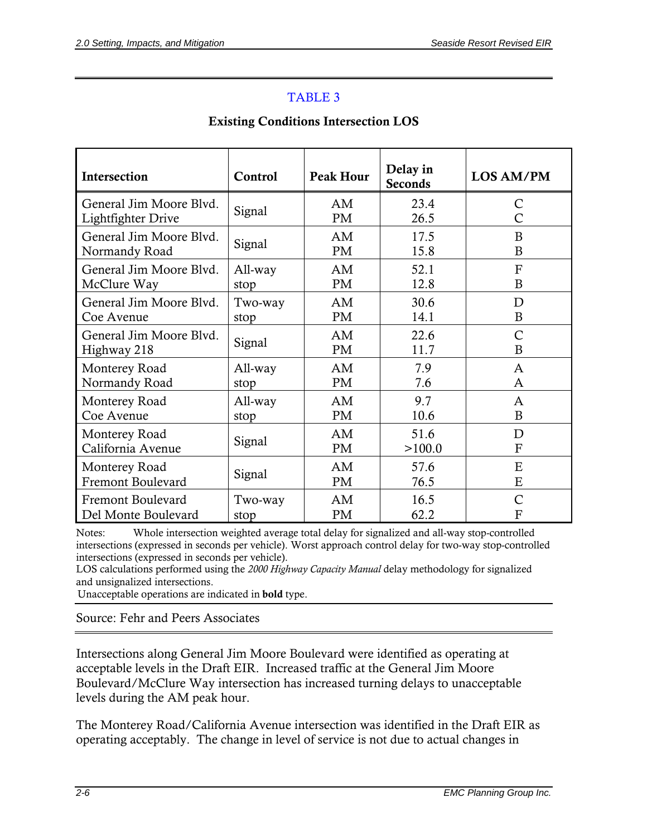#### TABLE 3

#### Existing Conditions Intersection LOS

| Intersection            | Control | <b>Peak Hour</b> | Delay in<br><b>Seconds</b> | <b>LOS AM/PM</b> |
|-------------------------|---------|------------------|----------------------------|------------------|
| General Jim Moore Blvd. | Signal  | AM               | 23.4                       | C                |
| Lightfighter Drive      |         | PM               | 26.5                       | C                |
| General Jim Moore Blvd. | Signal  | AM               | 17.5                       | B                |
| Normandy Road           |         | <b>PM</b>        | 15.8                       | B                |
| General Jim Moore Blvd. | All-way | AM               | 52.1                       | F                |
| McClure Way             | stop    | PM               | 12.8                       | B                |
| General Jim Moore Blvd. | Two-way | AM               | 30.6                       | D                |
| Coe Avenue              | stop    | PM               | 14.1                       | B                |
| General Jim Moore Blvd. | Signal  | AM               | 22.6                       | C                |
| Highway 218             |         | <b>PM</b>        | 11.7                       | B                |
| Monterey Road           | All-way | AM               | 7.9                        | A                |
| Normandy Road           | stop    | PM               | 7.6                        | A                |
| Monterey Road           | All-way | AM               | 9.7                        | $\mathbf{A}$     |
| Coe Avenue              | stop    | PM               | 10.6                       | B                |
| Monterey Road           | Signal  | AM               | 51.6                       | D                |
| California Avenue       |         | PM               | >100.0                     | F                |
| Monterey Road           | Signal  | AM               | 57.6                       | E                |
| Fremont Boulevard       |         | PM               | 76.5                       | E                |
| Fremont Boulevard       | Two-way | AM               | 16.5                       | C                |
| Del Monte Boulevard     | stop    | PM               | 62.2                       | F                |

Notes: Whole intersection weighted average total delay for signalized and all-way stop-controlled intersections (expressed in seconds per vehicle). Worst approach control delay for two-way stop-controlled intersections (expressed in seconds per vehicle).

LOS calculations performed using the *2000 Highway Capacity Manual* delay methodology for signalized and unsignalized intersections.

Unacceptable operations are indicated in bold type.

#### Source: Fehr and Peers Associates

Intersections along General Jim Moore Boulevard were identified as operating at acceptable levels in the Draft EIR. Increased traffic at the General Jim Moore Boulevard/McClure Way intersection has increased turning delays to unacceptable levels during the AM peak hour.

The Monterey Road/California Avenue intersection was identified in the Draft EIR as operating acceptably. The change in level of service is not due to actual changes in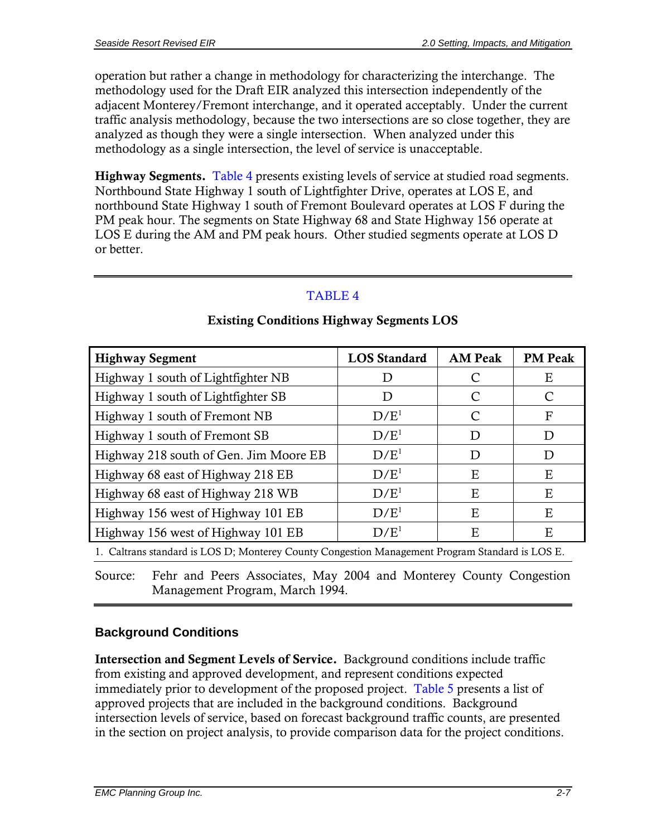operation but rather a change in methodology for characterizing the interchange. The methodology used for the Draft EIR analyzed this intersection independently of the adjacent Monterey/Fremont interchange, and it operated acceptably. Under the current traffic analysis methodology, because the two intersections are so close together, they are analyzed as though they were a single intersection. When analyzed under this methodology as a single intersection, the level of service is unacceptable.

Highway Segments. Table 4 presents existing levels of service at studied road segments. Northbound State Highway 1 south of Lightfighter Drive, operates at LOS E, and northbound State Highway 1 south of Fremont Boulevard operates at LOS F during the PM peak hour. The segments on State Highway 68 and State Highway 156 operate at LOS E during the AM and PM peak hours. Other studied segments operate at LOS D or better.

#### TABLE 4

| <b>Highway Segment</b>                                                                          | <b>LOS Standard</b> | <b>AM Peak</b> | <b>PM Peak</b> |  |  |  |  |
|-------------------------------------------------------------------------------------------------|---------------------|----------------|----------------|--|--|--|--|
| Highway 1 south of Lightfighter NB                                                              |                     | $\Gamma$       | E              |  |  |  |  |
| Highway 1 south of Lightfighter SB                                                              | $\Box$              | C              |                |  |  |  |  |
| Highway 1 south of Fremont NB                                                                   | D/E <sup>1</sup>    | C              | F              |  |  |  |  |
| Highway 1 south of Fremont SB                                                                   | D/E <sup>1</sup>    | D              | $\Box$         |  |  |  |  |
| Highway 218 south of Gen. Jim Moore EB                                                          | D/E <sup>1</sup>    | D              | D              |  |  |  |  |
| Highway 68 east of Highway 218 EB                                                               | D/E <sup>1</sup>    | Ε              | Ε              |  |  |  |  |
| Highway 68 east of Highway 218 WB                                                               | D/E <sup>1</sup>    | E              | E              |  |  |  |  |
| Highway 156 west of Highway 101 EB                                                              | D/E <sup>1</sup>    | Ε              | Ε              |  |  |  |  |
| Highway 156 west of Highway 101 EB                                                              | D/E <sup>1</sup>    | Ε              | E              |  |  |  |  |
| 1. Coltumn standard in LOC D. Montguer County Congression Management Duaguere Standard in LOC E |                     |                |                |  |  |  |  |

#### Existing Conditions Highway Segments LOS

1. Caltrans standard is LOS D; Monterey County Congestion Management Program Standard is LOS E.

Source: Fehr and Peers Associates, May 2004 and Monterey County Congestion Management Program, March 1994.

#### **Background Conditions**

Intersection and Segment Levels of Service. Background conditions include traffic from existing and approved development, and represent conditions expected immediately prior to development of the proposed project. Table 5 presents a list of approved projects that are included in the background conditions. Background intersection levels of service, based on forecast background traffic counts, are presented in the section on project analysis, to provide comparison data for the project conditions.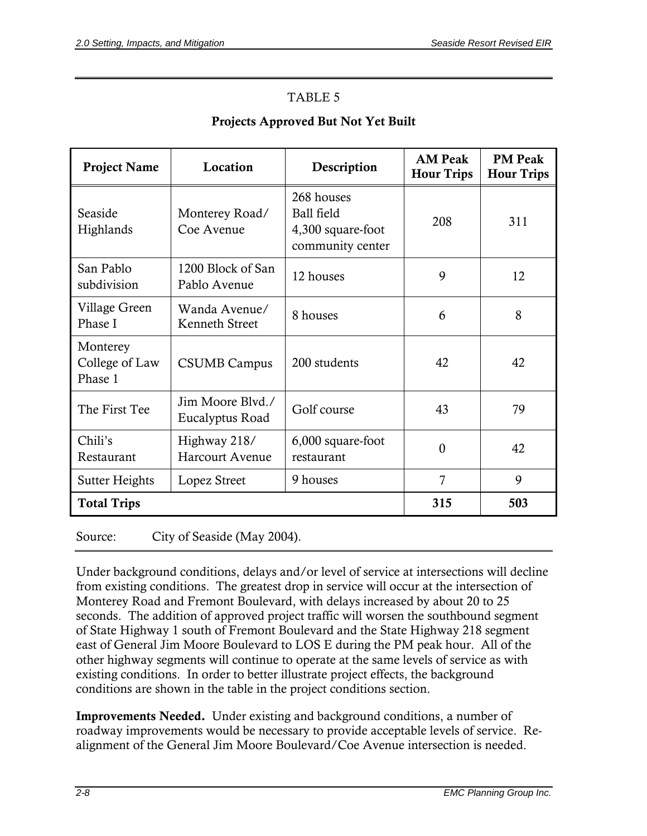#### TABLE 5

| <b>Project Name</b>                   | Location                               | Description                                                       | <b>AM Peak</b><br><b>Hour Trips</b> | <b>PM Peak</b><br><b>Hour Trips</b> |
|---------------------------------------|----------------------------------------|-------------------------------------------------------------------|-------------------------------------|-------------------------------------|
| Seaside<br>Highlands                  | Monterey Road/<br>Coe Avenue           | 268 houses<br>Ball field<br>4,300 square-foot<br>community center | 208                                 | 311                                 |
| San Pablo<br>subdivision              | 1200 Block of San<br>Pablo Avenue      | 12 houses                                                         | 9                                   | 12                                  |
| Village Green<br>Phase I              | Wanda Avenue/<br>Kenneth Street        | 8 houses                                                          | 6                                   | 8                                   |
| Monterey<br>College of Law<br>Phase 1 | <b>CSUMB Campus</b>                    | 200 students                                                      | 42                                  | 42                                  |
| The First Tee                         | Jim Moore Blvd./<br>Eucalyptus Road    | Golf course                                                       | 43                                  | 79                                  |
| Chili's<br>Restaurant                 | Highway 218/<br><b>Harcourt Avenue</b> | 6,000 square-foot<br>restaurant                                   | $\Omega$                            | 42                                  |
| <b>Sutter Heights</b>                 | Lopez Street                           | 9 houses                                                          | 7                                   | 9                                   |
| <b>Total Trips</b>                    | 315                                    | 503                                                               |                                     |                                     |

Source: City of Seaside (May 2004).

Under background conditions, delays and/or level of service at intersections will decline from existing conditions. The greatest drop in service will occur at the intersection of Monterey Road and Fremont Boulevard, with delays increased by about 20 to 25 seconds. The addition of approved project traffic will worsen the southbound segment of State Highway 1 south of Fremont Boulevard and the State Highway 218 segment east of General Jim Moore Boulevard to LOS E during the PM peak hour. All of the other highway segments will continue to operate at the same levels of service as with existing conditions. In order to better illustrate project effects, the background conditions are shown in the table in the project conditions section.

Improvements Needed. Under existing and background conditions, a number of roadway improvements would be necessary to provide acceptable levels of service. Realignment of the General Jim Moore Boulevard/Coe Avenue intersection is needed.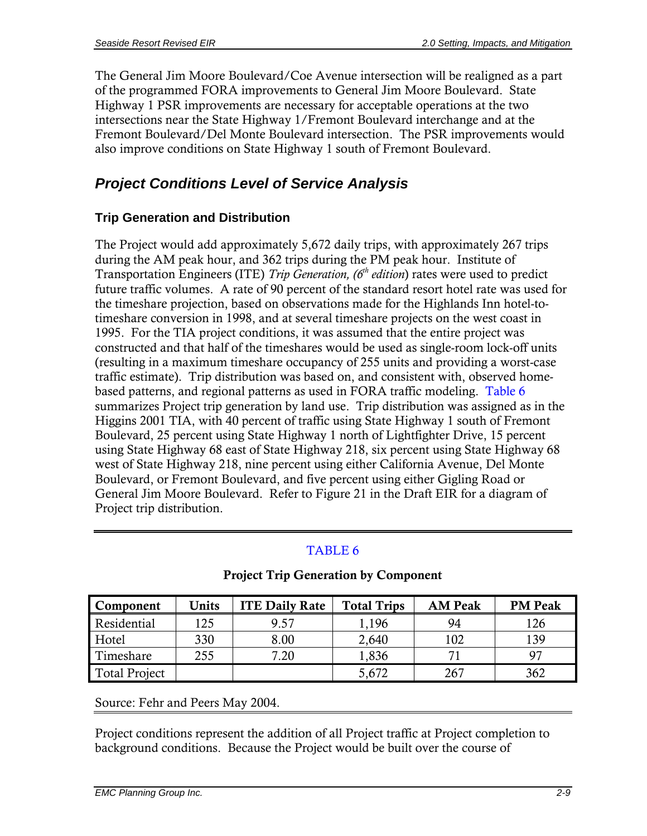The General Jim Moore Boulevard/Coe Avenue intersection will be realigned as a part of the programmed FORA improvements to General Jim Moore Boulevard. State Highway 1 PSR improvements are necessary for acceptable operations at the two intersections near the State Highway 1/Fremont Boulevard interchange and at the Fremont Boulevard/Del Monte Boulevard intersection. The PSR improvements would also improve conditions on State Highway 1 south of Fremont Boulevard.

## *Project Conditions Level of Service Analysis*

#### **Trip Generation and Distribution**

The Project would add approximately 5,672 daily trips, with approximately 267 trips during the AM peak hour, and 362 trips during the PM peak hour. Institute of Transportation Engineers (ITE) *Trip Generation, (6th edition*) rates were used to predict future traffic volumes. A rate of 90 percent of the standard resort hotel rate was used for the timeshare projection, based on observations made for the Highlands Inn hotel-totimeshare conversion in 1998, and at several timeshare projects on the west coast in 1995. For the TIA project conditions, it was assumed that the entire project was constructed and that half of the timeshares would be used as single-room lock-off units (resulting in a maximum timeshare occupancy of 255 units and providing a worst-case traffic estimate). Trip distribution was based on, and consistent with, observed homebased patterns, and regional patterns as used in FORA traffic modeling. Table 6 summarizes Project trip generation by land use. Trip distribution was assigned as in the Higgins 2001 TIA, with 40 percent of traffic using State Highway 1 south of Fremont Boulevard, 25 percent using State Highway 1 north of Lightfighter Drive, 15 percent using State Highway 68 east of State Highway 218, six percent using State Highway 68 west of State Highway 218, nine percent using either California Avenue, Del Monte Boulevard, or Fremont Boulevard, and five percent using either Gigling Road or General Jim Moore Boulevard. Refer to Figure 21 in the Draft EIR for a diagram of Project trip distribution.

#### TABLE 6

| <b>Component</b>     | Units | <b>ITE Daily Rate</b> | <b>Total Trips</b> | <b>AM Peak</b> | <b>PM Peak</b> |
|----------------------|-------|-----------------------|--------------------|----------------|----------------|
| <b>Residential</b>   | 125   | 9.57                  | 1,196              | 94             | 126            |
| Hotel                | 330   | 8.00                  | 2,640              | 102            | 139            |
| Timeshare            | 255   | 7.20                  | 1,836              |                | 97             |
| <b>Total Project</b> |       |                       | 5,672              | 267            | 362            |

#### Project Trip Generation by Component

Source: Fehr and Peers May 2004.

Project conditions represent the addition of all Project traffic at Project completion to background conditions. Because the Project would be built over the course of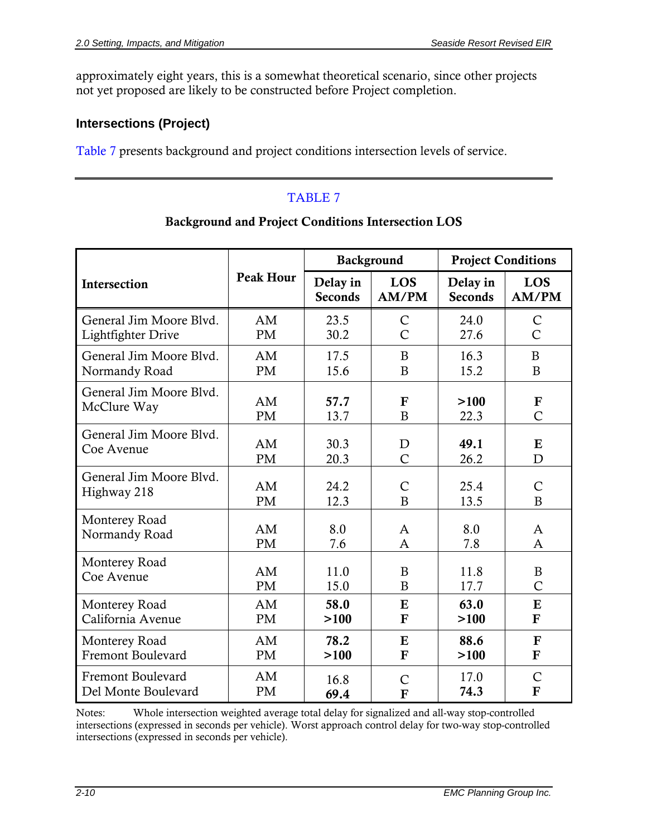approximately eight years, this is a somewhat theoretical scenario, since other projects not yet proposed are likely to be constructed before Project completion.

#### **Intersections (Project)**

Table 7 presents background and project conditions intersection levels of service.

#### TABLE 7

|                          |                  | <b>Background</b>          |                     | <b>Project Conditions</b>  |                |
|--------------------------|------------------|----------------------------|---------------------|----------------------------|----------------|
| Intersection             | <b>Peak Hour</b> | Delay in<br><b>Seconds</b> | <b>LOS</b><br>AM/PM | Delay in<br><b>Seconds</b> | LOS<br>AM/PM   |
| General Jim Moore Blvd.  | AM               | 23.5                       | $\mathsf{C}$        | 24.0                       | $\mathsf{C}$   |
| Lightfighter Drive       | <b>PM</b>        | 30.2                       | $\overline{C}$      | 27.6                       | $\overline{C}$ |
| General Jim Moore Blvd.  | AM               | 17.5                       | B                   | 16.3                       | $\mathbf{B}$   |
| Normandy Road            | <b>PM</b>        | 15.6                       | B                   | 15.2                       | B              |
| General Jim Moore Blvd.  | AM               | 57.7                       | $\mathbf{F}$        | >100                       | ${\bf F}$      |
| McClure Way              | <b>PM</b>        | 13.7                       | B                   | 22.3                       | $\overline{C}$ |
| General Jim Moore Blvd.  | AM               | 30.3                       | D                   | 49.1                       | E              |
| Coe Avenue               | <b>PM</b>        | 20.3                       | $\overline{C}$      | 26.2                       | D              |
| General Jim Moore Blvd.  | AM               | 24.2                       | $\mathsf{C}$        | 25.4                       | $\mathsf{C}$   |
| Highway 218              | PM               | 12.3                       | $\overline{B}$      | 13.5                       | $\overline{B}$ |
| Monterey Road            | AM               | 8.0                        | $\mathbf{A}$        | 8.0                        | A              |
| Normandy Road            | PM               | 7.6                        | $\overline{A}$      | 7.8                        | A              |
| Monterey Road            | AM               | 11.0                       | B                   | 11.8                       | $\bf{B}$       |
| Coe Avenue               | PM               | 15.0                       | B                   | 17.7                       | $\overline{C}$ |
| Monterey Road            | AM               | 58.0                       | E                   | 63.0                       | E              |
| California Avenue        | PM               | >100                       | $\mathbf{F}$        | >100                       | $\mathbf{F}$   |
| Monterey Road            | AM               | 78.2                       | E                   | 88.6                       | $\mathbf{F}$   |
| <b>Fremont Boulevard</b> | PM               | >100                       | $\mathbf{F}$        | >100                       | F              |
| Fremont Boulevard        | AM               | 16.8                       | C                   | 17.0                       | $\mathcal{C}$  |
| Del Monte Boulevard      | <b>PM</b>        | 69.4                       | F                   | 74.3                       | F              |

#### Background and Project Conditions Intersection LOS

Notes: Whole intersection weighted average total delay for signalized and all-way stop-controlled intersections (expressed in seconds per vehicle). Worst approach control delay for two-way stop-controlled intersections (expressed in seconds per vehicle).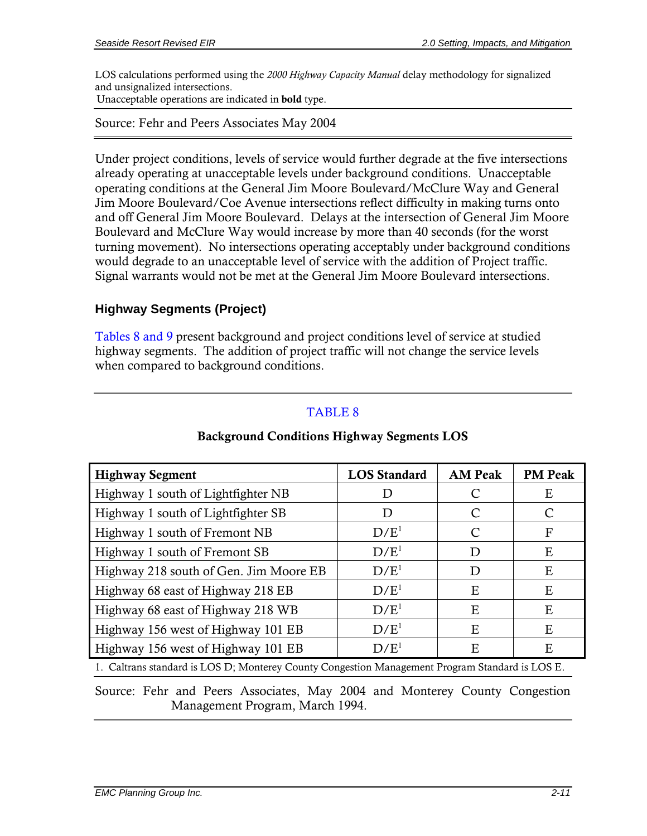LOS calculations performed using the *2000 Highway Capacity Manual* delay methodology for signalized and unsignalized intersections.

Unacceptable operations are indicated in bold type.

Source: Fehr and Peers Associates May 2004

Under project conditions, levels of service would further degrade at the five intersections already operating at unacceptable levels under background conditions. Unacceptable operating conditions at the General Jim Moore Boulevard/McClure Way and General Jim Moore Boulevard/Coe Avenue intersections reflect difficulty in making turns onto and off General Jim Moore Boulevard. Delays at the intersection of General Jim Moore Boulevard and McClure Way would increase by more than 40 seconds (for the worst turning movement). No intersections operating acceptably under background conditions would degrade to an unacceptable level of service with the addition of Project traffic. Signal warrants would not be met at the General Jim Moore Boulevard intersections.

#### **Highway Segments (Project)**

Tables 8 and 9 present background and project conditions level of service at studied highway segments. The addition of project traffic will not change the service levels when compared to background conditions.

#### TABLE 8

| <b>Highway Segment</b>                                                                      | <b>LOS Standard</b> | <b>AM Peak</b> | <b>PM Peak</b> |  |
|---------------------------------------------------------------------------------------------|---------------------|----------------|----------------|--|
| Highway 1 south of Lightfighter NB                                                          |                     | C              | E              |  |
| Highway 1 south of Lightfighter SB                                                          | Ð                   | C              |                |  |
| Highway 1 south of Fremont NB                                                               | D/E <sup>1</sup>    | C              | F              |  |
| Highway 1 south of Fremont SB                                                               | D/E <sup>1</sup>    | D              | Ε              |  |
| Highway 218 south of Gen. Jim Moore EB                                                      | D/E <sup>1</sup>    | D              | Ε              |  |
| Highway 68 east of Highway 218 EB                                                           | D/E <sup>1</sup>    | Ε              | Ε              |  |
| Highway 68 east of Highway 218 WB                                                           | D/E <sup>1</sup>    | Ε              | Ε              |  |
| Highway 156 west of Highway 101 EB                                                          | D/E <sup>1</sup>    | Ε              | Ε              |  |
| Highway 156 west of Highway 101 EB                                                          | D/E <sup>1</sup>    | E              | Ε              |  |
| Caltrans standard is LOS D: Monterey County Congestion Management Program Standard is LOS E |                     |                |                |  |

#### Background Conditions Highway Segments LOS

1. Caltrans standard is LOS D; Monterey County Congestion Management Program Standard is LOS E.

Source: Fehr and Peers Associates, May 2004 and Monterey County Congestion Management Program, March 1994.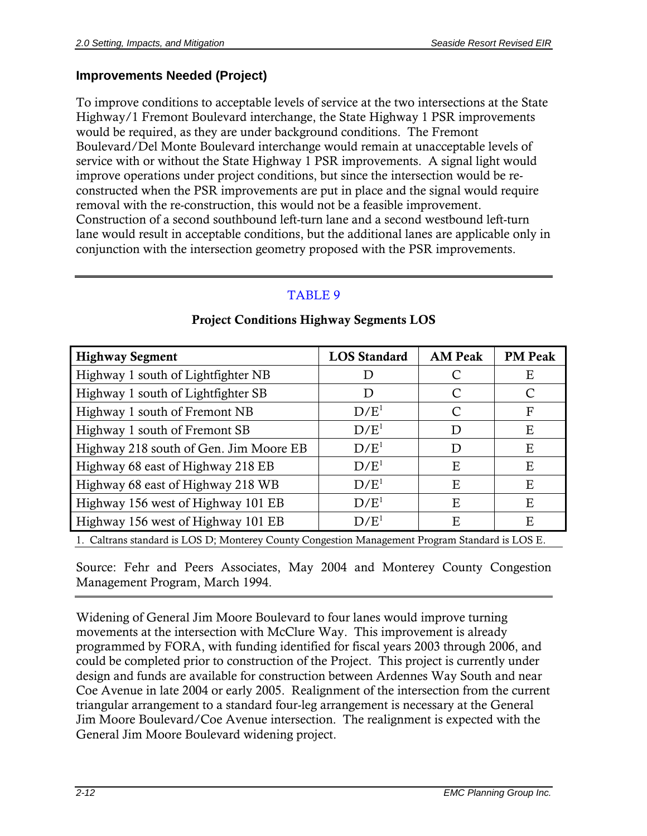#### **Improvements Needed (Project)**

To improve conditions to acceptable levels of service at the two intersections at the State Highway/1 Fremont Boulevard interchange, the State Highway 1 PSR improvements would be required, as they are under background conditions. The Fremont Boulevard/Del Monte Boulevard interchange would remain at unacceptable levels of service with or without the State Highway 1 PSR improvements. A signal light would improve operations under project conditions, but since the intersection would be reconstructed when the PSR improvements are put in place and the signal would require removal with the re-construction, this would not be a feasible improvement. Construction of a second southbound left-turn lane and a second westbound left-turn lane would result in acceptable conditions, but the additional lanes are applicable only in conjunction with the intersection geometry proposed with the PSR improvements.

#### TABLE 9

| <b>Highway Segment</b>                 | <b>LOS Standard</b> | <b>AM Peak</b> | <b>PM Peak</b> |
|----------------------------------------|---------------------|----------------|----------------|
| Highway 1 south of Lightfighter NB     |                     | $\mathcal{C}$  | E              |
| Highway 1 south of Lightfighter SB     | D                   | C              |                |
| Highway 1 south of Fremont NB          | D/E <sup>1</sup>    | $\Gamma$       | F              |
| Highway 1 south of Fremont SB          | D/E <sup>1</sup>    | D              | E              |
| Highway 218 south of Gen. Jim Moore EB | D/E <sup>1</sup>    | D              | E              |
| Highway 68 east of Highway 218 EB      | D/E <sup>1</sup>    | Ε              | E              |
| Highway 68 east of Highway 218 WB      | D/E <sup>1</sup>    | Ε              | E              |
| Highway 156 west of Highway 101 EB     | D/E <sup>1</sup>    | Ε              | E              |
| Highway 156 west of Highway 101 EB     | D/E <sup>1</sup>    | E              | E              |

#### Project Conditions Highway Segments LOS

1. Caltrans standard is LOS D; Monterey County Congestion Management Program Standard is LOS E.

Source: Fehr and Peers Associates, May 2004 and Monterey County Congestion Management Program, March 1994.

Widening of General Jim Moore Boulevard to four lanes would improve turning movements at the intersection with McClure Way. This improvement is already programmed by FORA, with funding identified for fiscal years 2003 through 2006, and could be completed prior to construction of the Project. This project is currently under design and funds are available for construction between Ardennes Way South and near Coe Avenue in late 2004 or early 2005. Realignment of the intersection from the current triangular arrangement to a standard four-leg arrangement is necessary at the General Jim Moore Boulevard/Coe Avenue intersection. The realignment is expected with the General Jim Moore Boulevard widening project.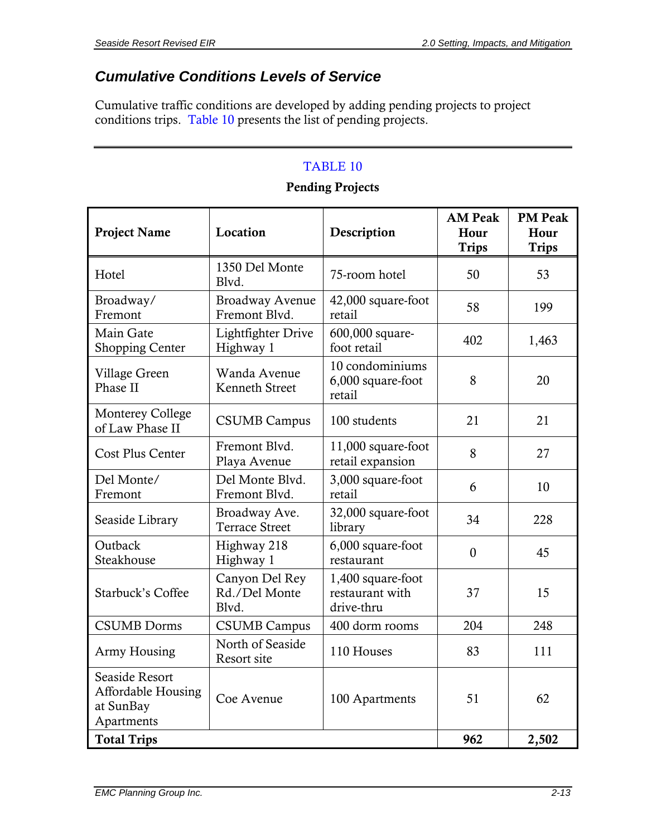## *Cumulative Conditions Levels of Service*

Cumulative traffic conditions are developed by adding pending projects to project conditions trips. Table 10 presents the list of pending projects.

#### TABLE 10

#### Pending Projects

| <b>Project Name</b>                                                    | Location                                 | Description                                        | <b>AM Peak</b><br>Hour<br><b>Trips</b> | <b>PM Peak</b><br>Hour<br><b>Trips</b> |
|------------------------------------------------------------------------|------------------------------------------|----------------------------------------------------|----------------------------------------|----------------------------------------|
| Hotel                                                                  | 1350 Del Monte<br>Blvd.                  | 75-room hotel                                      | 50                                     | 53                                     |
| Broadway/<br>Fremont                                                   | Broadway Avenue<br>Fremont Blvd.         | 42,000 square-foot<br>retail                       | 58                                     | 199                                    |
| Main Gate<br><b>Shopping Center</b>                                    | Lightfighter Drive<br>Highway 1          | 600,000 square-<br>foot retail                     | 402                                    | 1,463                                  |
| Village Green<br>Phase II                                              | Wanda Avenue<br><b>Kenneth Street</b>    | 10 condominiums<br>6,000 square-foot<br>retail     | 8                                      | 20                                     |
| <b>Monterey College</b><br>of Law Phase II                             | <b>CSUMB Campus</b>                      | 100 students                                       | 21                                     | 21                                     |
| <b>Cost Plus Center</b>                                                | Fremont Blvd.<br>Playa Avenue            | 11,000 square-foot<br>retail expansion             | 8                                      | 27                                     |
| Del Monte/<br>Fremont                                                  | Del Monte Blvd.<br>Fremont Blvd.         | 3,000 square-foot<br>retail                        | 6                                      | 10                                     |
| Seaside Library                                                        | Broadway Ave.<br><b>Terrace Street</b>   | 32,000 square-foot<br>library                      | 34                                     | 228                                    |
| Outback<br>Steakhouse                                                  | Highway 218<br>Highway 1                 | 6,000 square-foot<br>restaurant                    | $\boldsymbol{0}$                       | 45                                     |
| Starbuck's Coffee                                                      | Canyon Del Rey<br>Rd./Del Monte<br>Blvd. | 1,400 square-foot<br>restaurant with<br>drive-thru | 37                                     | 15                                     |
| <b>CSUMB Dorms</b>                                                     | <b>CSUMB Campus</b>                      | 400 dorm rooms                                     | 204                                    | 248                                    |
| Army Housing                                                           | North of Seaside<br>Resort site          | 110 Houses                                         | 83                                     | 111                                    |
| <b>Seaside Resort</b><br>Affordable Housing<br>at SunBay<br>Apartments | Coe Avenue                               | 100 Apartments                                     | 51                                     | 62                                     |
| <b>Total Trips</b>                                                     |                                          |                                                    | 962                                    | 2,502                                  |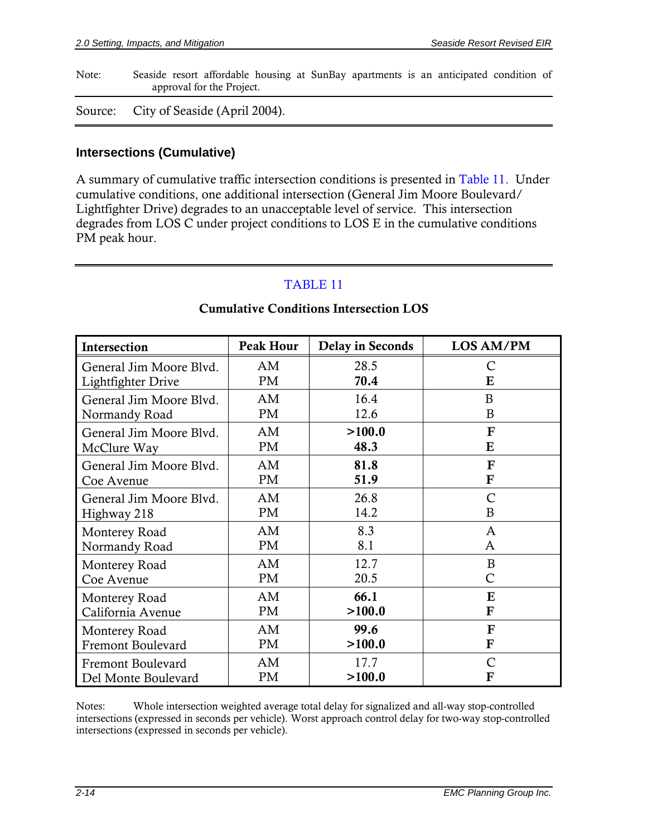Note: Seaside resort affordable housing at SunBay apartments is an anticipated condition of approval for the Project.

Source: City of Seaside (April 2004).

#### **Intersections (Cumulative)**

A summary of cumulative traffic intersection conditions is presented in Table 11. Under cumulative conditions, one additional intersection (General Jim Moore Boulevard/ Lightfighter Drive) degrades to an unacceptable level of service. This intersection degrades from LOS C under project conditions to LOS E in the cumulative conditions PM peak hour.

#### TABLE 11

| Intersection            | <b>Peak Hour</b> | Delay in Seconds | <b>LOS AM/PM</b> |
|-------------------------|------------------|------------------|------------------|
| General Jim Moore Blvd. | AM               | 28.5             | $\subset$        |
| Lightfighter Drive      | <b>PM</b>        | 70.4             | E                |
| General Jim Moore Blvd. | AM               | 16.4             | B                |
| Normandy Road           | PM               | 12.6             | B                |
| General Jim Moore Blvd. | AM               | >100.0           | $\mathbf{F}$     |
| McClure Way             | PM               | 48.3             | E                |
| General Jim Moore Blvd. | AM               | 81.8             | F                |
| Coe Avenue              | PM               | 51.9             | F                |
| General Jim Moore Blvd. | AM               | 26.8             | $\mathcal{C}$    |
| Highway 218             | PM               | 14.2             | B                |
| Monterey Road           | AM               | 8.3              | A                |
| Normandy Road           | PM               | 8.1              | A                |
| Monterey Road           | AM               | 12.7             | B                |
| Coe Avenue              | PM               | 20.5             | $\overline{C}$   |
| Monterey Road           | AM               | 66.1             | E                |
| California Avenue       | PM               | >100.0           | F                |
| Monterey Road           | AM               | 99.6             | $\mathbf{F}$     |
| Fremont Boulevard       | PM               | >100.0           | F                |
| Fremont Boulevard       | AM               | 17.7             | $\subset$        |
| Del Monte Boulevard     | PM               | >100.0           | F                |

#### Cumulative Conditions Intersection LOS

Notes: Whole intersection weighted average total delay for signalized and all-way stop-controlled intersections (expressed in seconds per vehicle). Worst approach control delay for two-way stop-controlled intersections (expressed in seconds per vehicle).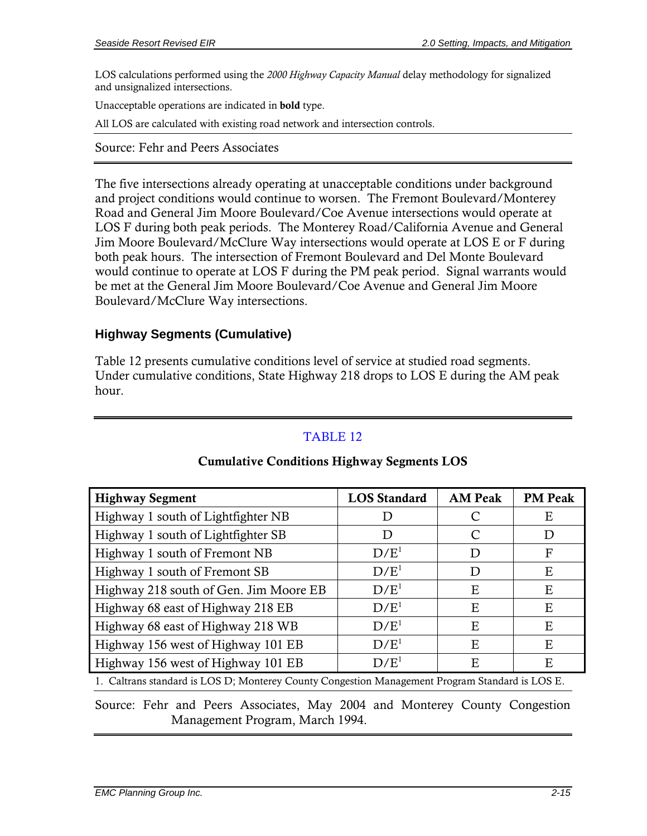LOS calculations performed using the *2000 Highway Capacity Manual* delay methodology for signalized and unsignalized intersections.

Unacceptable operations are indicated in bold type.

All LOS are calculated with existing road network and intersection controls.

Source: Fehr and Peers Associates

The five intersections already operating at unacceptable conditions under background and project conditions would continue to worsen. The Fremont Boulevard/Monterey Road and General Jim Moore Boulevard/Coe Avenue intersections would operate at LOS F during both peak periods. The Monterey Road/California Avenue and General Jim Moore Boulevard/McClure Way intersections would operate at LOS E or F during both peak hours. The intersection of Fremont Boulevard and Del Monte Boulevard would continue to operate at LOS F during the PM peak period. Signal warrants would be met at the General Jim Moore Boulevard/Coe Avenue and General Jim Moore Boulevard/McClure Way intersections.

#### **Highway Segments (Cumulative)**

Table 12 presents cumulative conditions level of service at studied road segments. Under cumulative conditions, State Highway 218 drops to LOS E during the AM peak hour.

#### TABLE 12

| <b>LOS Standard</b> | <b>AM Peak</b> | <b>PM Peak</b> |
|---------------------|----------------|----------------|
|                     |                | E              |
| D                   | C              |                |
| D/E <sup>1</sup>    | $\mathbf{D}$   | F              |
| D/E <sup>1</sup>    | D              | E              |
| D/E <sup>1</sup>    | Ε              | Ε              |
| D/E <sup>1</sup>    | Ε              | E              |
| D/E <sup>1</sup>    | Ε              | E              |
| D/E <sup>1</sup>    | Ε              | Ε              |
| D/E <sup>1</sup>    | Ε              | E              |
|                     |                |                |

#### Cumulative Conditions Highway Segments LOS

1. Caltrans standard is LOS D; Monterey County Congestion Management Program Standard is LOS E.

Source: Fehr and Peers Associates, May 2004 and Monterey County Congestion Management Program, March 1994.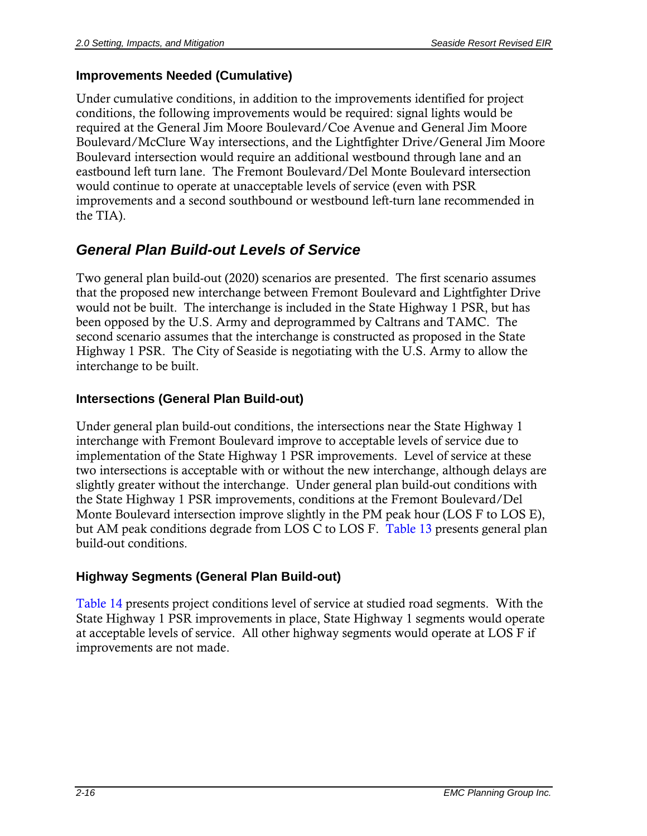#### **Improvements Needed (Cumulative)**

Under cumulative conditions, in addition to the improvements identified for project conditions, the following improvements would be required: signal lights would be required at the General Jim Moore Boulevard/Coe Avenue and General Jim Moore Boulevard/McClure Way intersections, and the Lightfighter Drive/General Jim Moore Boulevard intersection would require an additional westbound through lane and an eastbound left turn lane. The Fremont Boulevard/Del Monte Boulevard intersection would continue to operate at unacceptable levels of service (even with PSR improvements and a second southbound or westbound left-turn lane recommended in the TIA).

### *General Plan Build-out Levels of Service*

Two general plan build-out (2020) scenarios are presented. The first scenario assumes that the proposed new interchange between Fremont Boulevard and Lightfighter Drive would not be built. The interchange is included in the State Highway 1 PSR, but has been opposed by the U.S. Army and deprogrammed by Caltrans and TAMC. The second scenario assumes that the interchange is constructed as proposed in the State Highway 1 PSR. The City of Seaside is negotiating with the U.S. Army to allow the interchange to be built.

#### **Intersections (General Plan Build-out)**

Under general plan build-out conditions, the intersections near the State Highway 1 interchange with Fremont Boulevard improve to acceptable levels of service due to implementation of the State Highway 1 PSR improvements. Level of service at these two intersections is acceptable with or without the new interchange, although delays are slightly greater without the interchange. Under general plan build-out conditions with the State Highway 1 PSR improvements, conditions at the Fremont Boulevard/Del Monte Boulevard intersection improve slightly in the PM peak hour (LOS F to LOS E), but AM peak conditions degrade from LOS C to LOS F. Table 13 presents general plan build-out conditions.

#### **Highway Segments (General Plan Build-out)**

Table 14 presents project conditions level of service at studied road segments. With the State Highway 1 PSR improvements in place, State Highway 1 segments would operate at acceptable levels of service. All other highway segments would operate at LOS F if improvements are not made.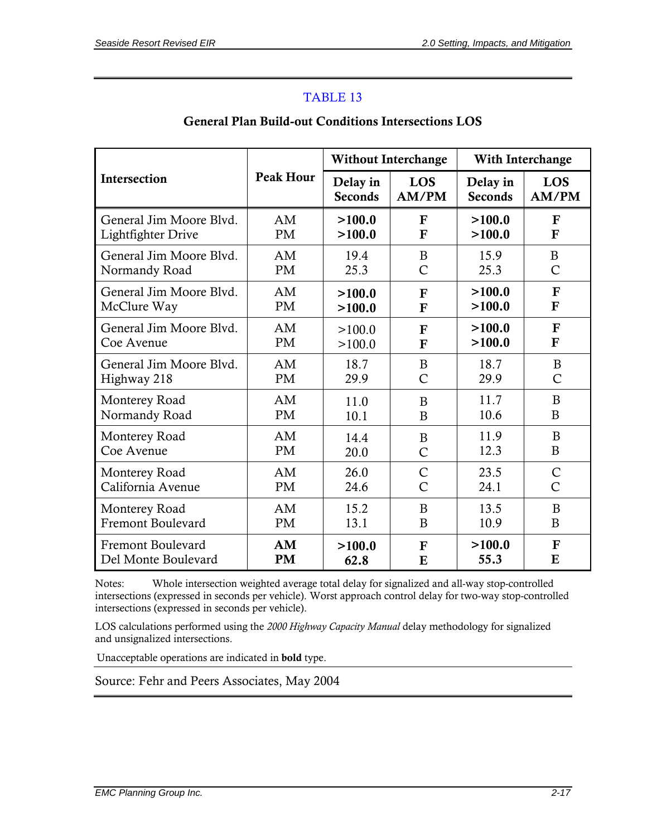#### TABLE 13

|                         |                  | <b>Without Interchange</b> |                | <b>With Interchange</b>    |                |
|-------------------------|------------------|----------------------------|----------------|----------------------------|----------------|
| Intersection            | <b>Peak Hour</b> | Delay in<br><b>Seconds</b> | LOS<br>AM/PM   | Delay in<br><b>Seconds</b> | LOS<br>AM/PM   |
| General Jim Moore Blvd. | AM               | >100.0                     | F              | >100.0                     | F              |
| Lightfighter Drive      | PM               | >100.0                     | F              | >100.0                     | F              |
| General Jim Moore Blvd. | AM               | 19.4                       | B              | 15.9                       | B              |
| Normandy Road           | PM               | 25.3                       | $\mathcal{C}$  | 25.3                       | $\mathcal{C}$  |
| General Jim Moore Blvd. | AM               | >100.0                     | F              | >100.0                     | $\mathbf{F}$   |
| McClure Way             | PM               | >100.0                     | F              | >100.0                     | F              |
| General Jim Moore Blvd. | AM               | >100.0                     | $\mathbf{F}$   | >100.0                     | $\mathbf{F}$   |
| Coe Avenue              | <b>PM</b>        | >100.0                     | $\mathbf{F}$   | >100.0                     | $\mathbf{F}$   |
| General Jim Moore Blvd. | AM               | 18.7                       | B              | 18.7                       | B              |
| Highway 218             | <b>PM</b>        | 29.9                       | $\overline{C}$ | 29.9                       | $\mathcal{C}$  |
| Monterey Road           | AM               | 11.0                       | B              | 11.7                       | B              |
| Normandy Road           | PM               | 10.1                       | B              | 10.6                       | B              |
| Monterey Road           | AM               | 14.4                       | B              | 11.9                       | B              |
| Coe Avenue              | PM               | 20.0                       | $\overline{C}$ | 12.3                       | B              |
| Monterey Road           | AM               | 26.0                       | $\mathsf{C}$   | 23.5                       | $\mathsf{C}$   |
| California Avenue       | <b>PM</b>        | 24.6                       | $\overline{C}$ | 24.1                       | $\overline{C}$ |
| Monterey Road           | AM               | 15.2                       | B              | 13.5                       | B              |
| Fremont Boulevard       | <b>PM</b>        | 13.1                       | B              | 10.9                       | B              |
| Fremont Boulevard       | AM               | >100.0                     | $\mathbf{F}$   | >100.0                     | $\mathbf{F}$   |
| Del Monte Boulevard     | <b>PM</b>        | 62.8                       | E              | 55.3                       | E              |

Notes: Whole intersection weighted average total delay for signalized and all-way stop-controlled intersections (expressed in seconds per vehicle). Worst approach control delay for two-way stop-controlled intersections (expressed in seconds per vehicle).

LOS calculations performed using the *2000 Highway Capacity Manual* delay methodology for signalized and unsignalized intersections.

Unacceptable operations are indicated in bold type.

Source: Fehr and Peers Associates, May 2004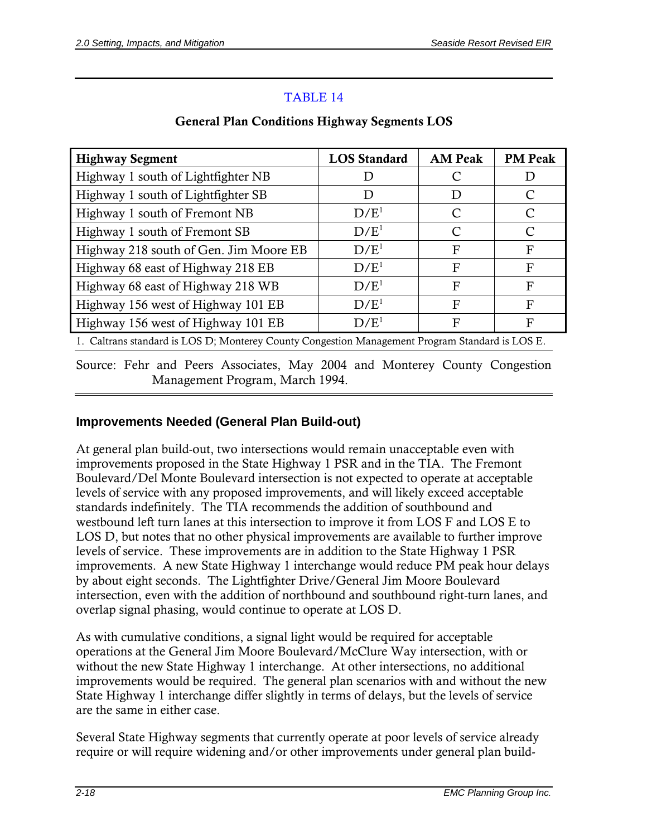#### TABLE 14

| <b>Highway Segment</b>                                                                          | <b>LOS Standard</b> | <b>AM Peak</b> | <b>PM Peak</b> |  |
|-------------------------------------------------------------------------------------------------|---------------------|----------------|----------------|--|
| Highway 1 south of Lightfighter NB                                                              | $\Box$              | $\mathcal{C}$  | Ð              |  |
| Highway 1 south of Lightfighter SB                                                              | D                   | D              |                |  |
| Highway 1 south of Fremont NB                                                                   | D/E <sup>1</sup>    | C              |                |  |
| Highway 1 south of Fremont SB                                                                   | D/E <sup>1</sup>    | $\Gamma$       |                |  |
| Highway 218 south of Gen. Jim Moore EB                                                          | D/E <sup>1</sup>    | F              | F              |  |
| Highway 68 east of Highway 218 EB                                                               | D/E <sup>1</sup>    | F              | F              |  |
| Highway 68 east of Highway 218 WB                                                               | D/E <sup>1</sup>    | F              | F              |  |
| Highway 156 west of Highway 101 EB                                                              | D/E <sup>1</sup>    | F              | F              |  |
| Highway 156 west of Highway 101 EB                                                              | D/E <sup>1</sup>    | F              | F              |  |
| 1. Caltrans standard is LOS D; Monterey County Congestion Management Program Standard is LOS E. |                     |                |                |  |

#### General Plan Conditions Highway Segments LOS

Source: Fehr and Peers Associates, May 2004 and Monterey County Congestion Management Program, March 1994.

#### **Improvements Needed (General Plan Build-out)**

At general plan build-out, two intersections would remain unacceptable even with improvements proposed in the State Highway 1 PSR and in the TIA. The Fremont Boulevard/Del Monte Boulevard intersection is not expected to operate at acceptable levels of service with any proposed improvements, and will likely exceed acceptable standards indefinitely. The TIA recommends the addition of southbound and westbound left turn lanes at this intersection to improve it from LOS F and LOS E to LOS D, but notes that no other physical improvements are available to further improve levels of service. These improvements are in addition to the State Highway 1 PSR improvements. A new State Highway 1 interchange would reduce PM peak hour delays by about eight seconds. The Lightfighter Drive/General Jim Moore Boulevard intersection, even with the addition of northbound and southbound right-turn lanes, and overlap signal phasing, would continue to operate at LOS D.

As with cumulative conditions, a signal light would be required for acceptable operations at the General Jim Moore Boulevard/McClure Way intersection, with or without the new State Highway 1 interchange. At other intersections, no additional improvements would be required. The general plan scenarios with and without the new State Highway 1 interchange differ slightly in terms of delays, but the levels of service are the same in either case.

Several State Highway segments that currently operate at poor levels of service already require or will require widening and/or other improvements under general plan build-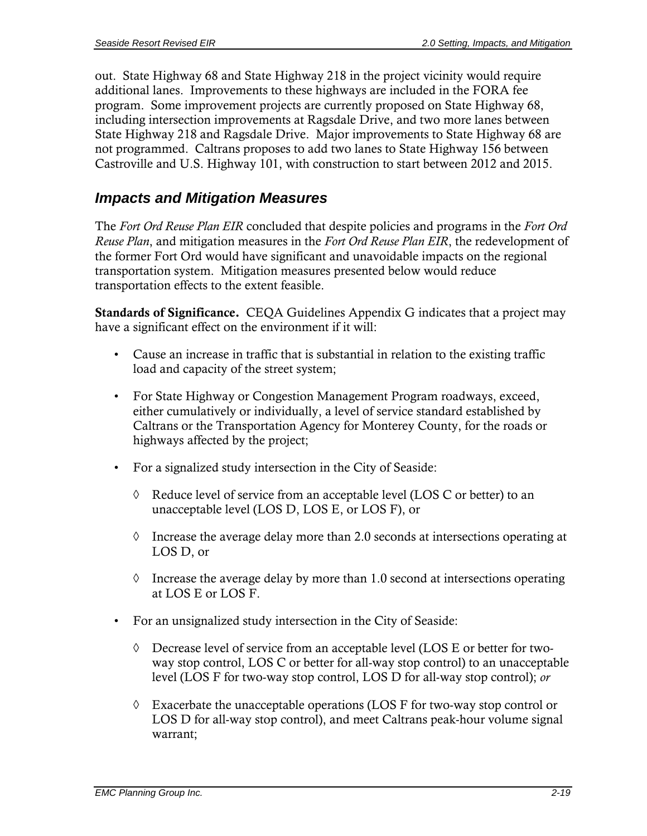out. State Highway 68 and State Highway 218 in the project vicinity would require additional lanes. Improvements to these highways are included in the FORA fee program. Some improvement projects are currently proposed on State Highway 68, including intersection improvements at Ragsdale Drive, and two more lanes between State Highway 218 and Ragsdale Drive. Major improvements to State Highway 68 are not programmed. Caltrans proposes to add two lanes to State Highway 156 between Castroville and U.S. Highway 101, with construction to start between 2012 and 2015.

### *Impacts and Mitigation Measures*

The *Fort Ord Reuse Plan EIR* concluded that despite policies and programs in the *Fort Ord Reuse Plan*, and mitigation measures in the *Fort Ord Reuse Plan EIR*, the redevelopment of the former Fort Ord would have significant and unavoidable impacts on the regional transportation system. Mitigation measures presented below would reduce transportation effects to the extent feasible.

Standards of Significance. CEQA Guidelines Appendix G indicates that a project may have a significant effect on the environment if it will:

- Cause an increase in traffic that is substantial in relation to the existing traffic load and capacity of the street system;
- For State Highway or Congestion Management Program roadways, exceed, either cumulatively or individually, a level of service standard established by Caltrans or the Transportation Agency for Monterey County, for the roads or highways affected by the project;
- For a signalized study intersection in the City of Seaside:
	- ◊ Reduce level of service from an acceptable level (LOS C or better) to an unacceptable level (LOS D, LOS E, or LOS F), or
	- ◊ Increase the average delay more than 2.0 seconds at intersections operating at LOS D, or
	- $\Diamond$  Increase the average delay by more than 1.0 second at intersections operating at LOS E or LOS F.
- For an unsignalized study intersection in the City of Seaside:
	- ◊ Decrease level of service from an acceptable level (LOS E or better for twoway stop control, LOS C or better for all-way stop control) to an unacceptable level (LOS F for two-way stop control, LOS D for all-way stop control); *or*
	- ◊ Exacerbate the unacceptable operations (LOS F for two-way stop control or LOS D for all-way stop control), and meet Caltrans peak-hour volume signal warrant;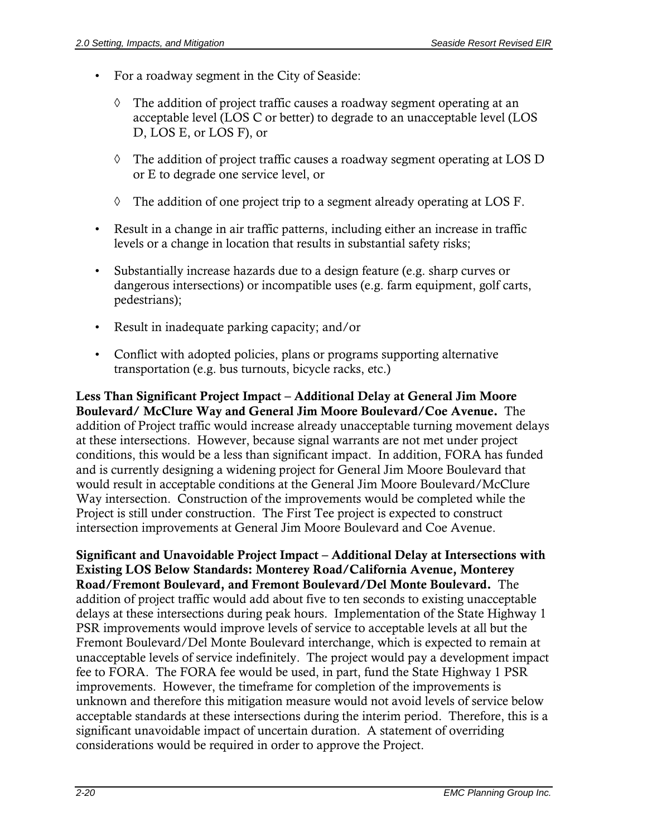- For a roadway segment in the City of Seaside:
	- The addition of project traffic causes a roadway segment operating at an acceptable level (LOS C or better) to degrade to an unacceptable level (LOS D, LOS E, or LOS F), or
	- ◊ The addition of project traffic causes a roadway segment operating at LOS D or E to degrade one service level, or
	- ◊ The addition of one project trip to a segment already operating at LOS F.
- Result in a change in air traffic patterns, including either an increase in traffic levels or a change in location that results in substantial safety risks;
- Substantially increase hazards due to a design feature (e.g. sharp curves or dangerous intersections) or incompatible uses (e.g. farm equipment, golf carts, pedestrians);
- Result in inadequate parking capacity; and/or
- Conflict with adopted policies, plans or programs supporting alternative transportation (e.g. bus turnouts, bicycle racks, etc.)

Less Than Significant Project Impact – Additional Delay at General Jim Moore Boulevard/ McClure Way and General Jim Moore Boulevard/Coe Avenue. The addition of Project traffic would increase already unacceptable turning movement delays at these intersections. However, because signal warrants are not met under project conditions, this would be a less than significant impact. In addition, FORA has funded and is currently designing a widening project for General Jim Moore Boulevard that would result in acceptable conditions at the General Jim Moore Boulevard/McClure Way intersection. Construction of the improvements would be completed while the Project is still under construction. The First Tee project is expected to construct intersection improvements at General Jim Moore Boulevard and Coe Avenue.

Significant and Unavoidable Project Impact – Additional Delay at Intersections with Existing LOS Below Standards: Monterey Road/California Avenue, Monterey Road/Fremont Boulevard, and Fremont Boulevard/Del Monte Boulevard. The addition of project traffic would add about five to ten seconds to existing unacceptable delays at these intersections during peak hours. Implementation of the State Highway 1 PSR improvements would improve levels of service to acceptable levels at all but the Fremont Boulevard/Del Monte Boulevard interchange, which is expected to remain at unacceptable levels of service indefinitely. The project would pay a development impact fee to FORA. The FORA fee would be used, in part, fund the State Highway 1 PSR improvements. However, the timeframe for completion of the improvements is unknown and therefore this mitigation measure would not avoid levels of service below acceptable standards at these intersections during the interim period. Therefore, this is a significant unavoidable impact of uncertain duration. A statement of overriding considerations would be required in order to approve the Project.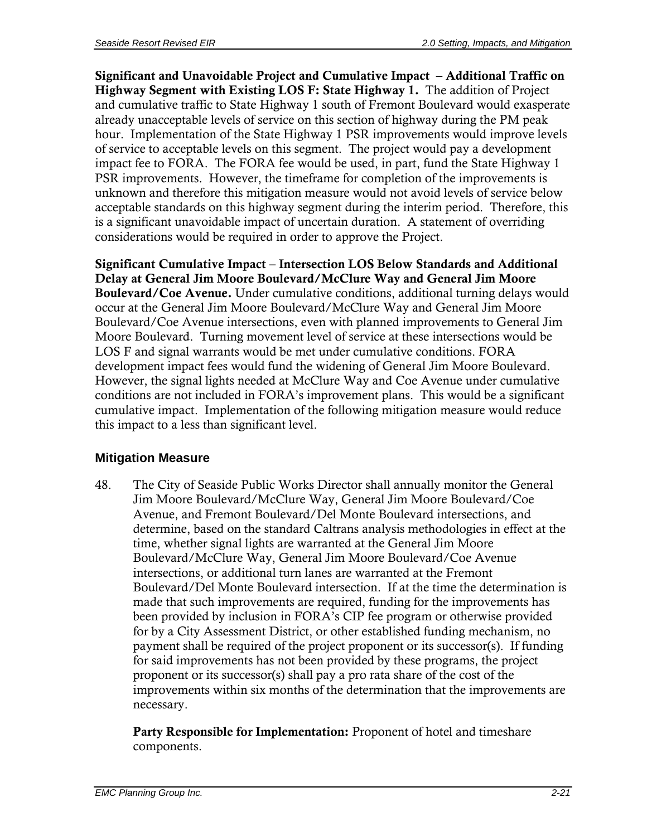Significant and Unavoidable Project and Cumulative Impact – Additional Traffic on Highway Segment with Existing LOS F: State Highway 1. The addition of Project and cumulative traffic to State Highway 1 south of Fremont Boulevard would exasperate already unacceptable levels of service on this section of highway during the PM peak hour. Implementation of the State Highway 1 PSR improvements would improve levels of service to acceptable levels on this segment. The project would pay a development impact fee to FORA. The FORA fee would be used, in part, fund the State Highway 1 PSR improvements. However, the timeframe for completion of the improvements is unknown and therefore this mitigation measure would not avoid levels of service below acceptable standards on this highway segment during the interim period. Therefore, this is a significant unavoidable impact of uncertain duration. A statement of overriding considerations would be required in order to approve the Project.

Significant Cumulative Impact – Intersection LOS Below Standards and Additional Delay at General Jim Moore Boulevard/McClure Way and General Jim Moore Boulevard/Coe Avenue. Under cumulative conditions, additional turning delays would occur at the General Jim Moore Boulevard/McClure Way and General Jim Moore Boulevard/Coe Avenue intersections, even with planned improvements to General Jim Moore Boulevard. Turning movement level of service at these intersections would be LOS F and signal warrants would be met under cumulative conditions. FORA development impact fees would fund the widening of General Jim Moore Boulevard. However, the signal lights needed at McClure Way and Coe Avenue under cumulative conditions are not included in FORA's improvement plans. This would be a significant cumulative impact. Implementation of the following mitigation measure would reduce this impact to a less than significant level.

#### **Mitigation Measure**

48. The City of Seaside Public Works Director shall annually monitor the General Jim Moore Boulevard/McClure Way, General Jim Moore Boulevard/Coe Avenue, and Fremont Boulevard/Del Monte Boulevard intersections, and determine, based on the standard Caltrans analysis methodologies in effect at the time, whether signal lights are warranted at the General Jim Moore Boulevard/McClure Way, General Jim Moore Boulevard/Coe Avenue intersections, or additional turn lanes are warranted at the Fremont Boulevard/Del Monte Boulevard intersection. If at the time the determination is made that such improvements are required, funding for the improvements has been provided by inclusion in FORA's CIP fee program or otherwise provided for by a City Assessment District, or other established funding mechanism, no payment shall be required of the project proponent or its successor(s). If funding for said improvements has not been provided by these programs, the project proponent or its successor(s) shall pay a pro rata share of the cost of the improvements within six months of the determination that the improvements are necessary.

 Party Responsible for Implementation: Proponent of hotel and timeshare components.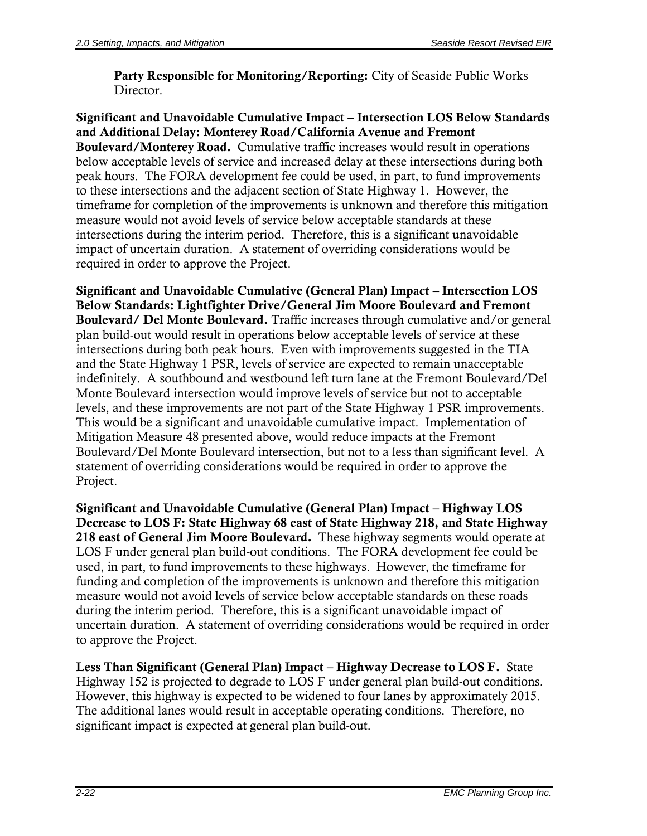Party Responsible for Monitoring/Reporting: City of Seaside Public Works Director.

Significant and Unavoidable Cumulative Impact – Intersection LOS Below Standards and Additional Delay: Monterey Road/California Avenue and Fremont Boulevard/Monterey Road. Cumulative traffic increases would result in operations below acceptable levels of service and increased delay at these intersections during both peak hours. The FORA development fee could be used, in part, to fund improvements to these intersections and the adjacent section of State Highway 1. However, the timeframe for completion of the improvements is unknown and therefore this mitigation measure would not avoid levels of service below acceptable standards at these intersections during the interim period. Therefore, this is a significant unavoidable impact of uncertain duration. A statement of overriding considerations would be required in order to approve the Project.

Significant and Unavoidable Cumulative (General Plan) Impact – Intersection LOS Below Standards: Lightfighter Drive/General Jim Moore Boulevard and Fremont Boulevard/ Del Monte Boulevard. Traffic increases through cumulative and/or general plan build-out would result in operations below acceptable levels of service at these intersections during both peak hours. Even with improvements suggested in the TIA and the State Highway 1 PSR, levels of service are expected to remain unacceptable indefinitely. A southbound and westbound left turn lane at the Fremont Boulevard/Del Monte Boulevard intersection would improve levels of service but not to acceptable levels, and these improvements are not part of the State Highway 1 PSR improvements. This would be a significant and unavoidable cumulative impact. Implementation of Mitigation Measure 48 presented above, would reduce impacts at the Fremont Boulevard/Del Monte Boulevard intersection, but not to a less than significant level. A statement of overriding considerations would be required in order to approve the Project.

Significant and Unavoidable Cumulative (General Plan) Impact – Highway LOS Decrease to LOS F: State Highway 68 east of State Highway 218, and State Highway 218 east of General Jim Moore Boulevard. These highway segments would operate at LOS F under general plan build-out conditions. The FORA development fee could be used, in part, to fund improvements to these highways. However, the timeframe for funding and completion of the improvements is unknown and therefore this mitigation measure would not avoid levels of service below acceptable standards on these roads during the interim period. Therefore, this is a significant unavoidable impact of uncertain duration. A statement of overriding considerations would be required in order to approve the Project.

Less Than Significant (General Plan) Impact – Highway Decrease to LOS F. State Highway 152 is projected to degrade to LOS F under general plan build-out conditions. However, this highway is expected to be widened to four lanes by approximately 2015. The additional lanes would result in acceptable operating conditions. Therefore, no significant impact is expected at general plan build-out.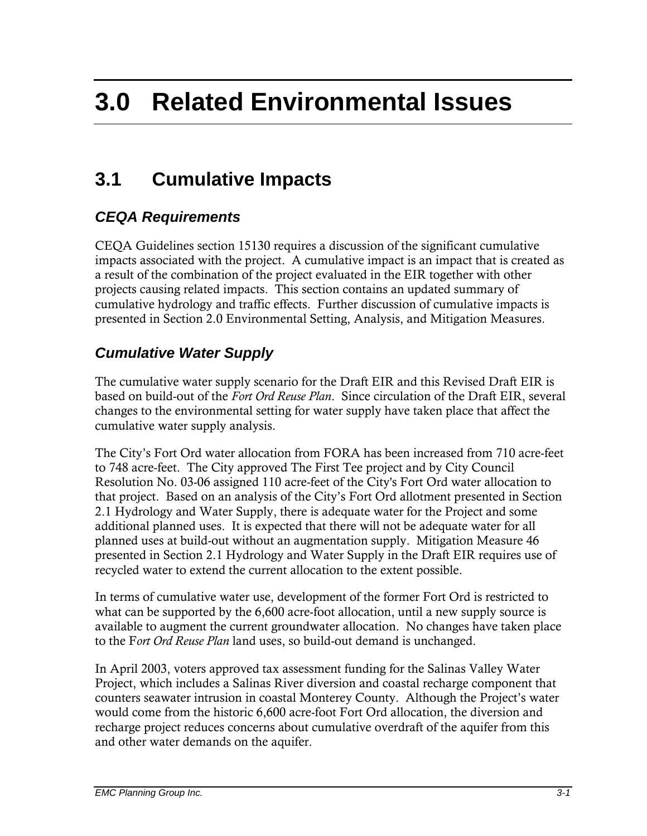# **3.0 Related Environmental Issues**

## **3.1 Cumulative Impacts**

## *CEQA Requirements*

CEQA Guidelines section 15130 requires a discussion of the significant cumulative impacts associated with the project. A cumulative impact is an impact that is created as a result of the combination of the project evaluated in the EIR together with other projects causing related impacts. This section contains an updated summary of cumulative hydrology and traffic effects. Further discussion of cumulative impacts is presented in Section 2.0 Environmental Setting, Analysis, and Mitigation Measures.

## *Cumulative Water Supply*

The cumulative water supply scenario for the Draft EIR and this Revised Draft EIR is based on build-out of the *Fort Ord Reuse Plan*. Since circulation of the Draft EIR, several changes to the environmental setting for water supply have taken place that affect the cumulative water supply analysis.

The City's Fort Ord water allocation from FORA has been increased from 710 acre-feet to 748 acre-feet. The City approved The First Tee project and by City Council Resolution No. 03-06 assigned 110 acre-feet of the City's Fort Ord water allocation to that project. Based on an analysis of the City's Fort Ord allotment presented in Section 2.1 Hydrology and Water Supply, there is adequate water for the Project and some additional planned uses. It is expected that there will not be adequate water for all planned uses at build-out without an augmentation supply. Mitigation Measure 46 presented in Section 2.1 Hydrology and Water Supply in the Draft EIR requires use of recycled water to extend the current allocation to the extent possible.

In terms of cumulative water use, development of the former Fort Ord is restricted to what can be supported by the 6,600 acre-foot allocation, until a new supply source is available to augment the current groundwater allocation. No changes have taken place to the F*ort Ord Reuse Plan* land uses, so build-out demand is unchanged.

In April 2003, voters approved tax assessment funding for the Salinas Valley Water Project, which includes a Salinas River diversion and coastal recharge component that counters seawater intrusion in coastal Monterey County. Although the Project's water would come from the historic 6,600 acre-foot Fort Ord allocation, the diversion and recharge project reduces concerns about cumulative overdraft of the aquifer from this and other water demands on the aquifer.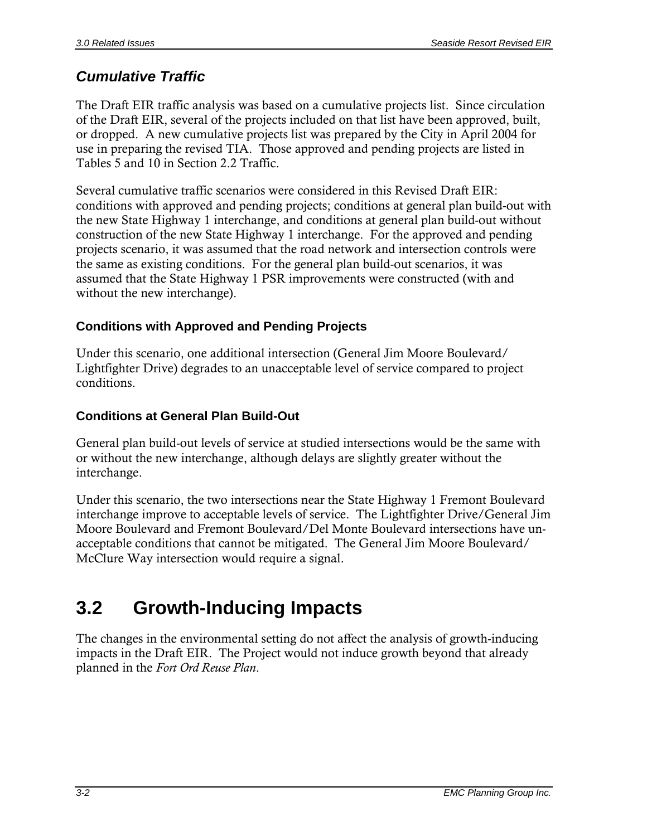## *Cumulative Traffic*

The Draft EIR traffic analysis was based on a cumulative projects list. Since circulation of the Draft EIR, several of the projects included on that list have been approved, built, or dropped. A new cumulative projects list was prepared by the City in April 2004 for use in preparing the revised TIA. Those approved and pending projects are listed in Tables 5 and 10 in Section 2.2 Traffic.

Several cumulative traffic scenarios were considered in this Revised Draft EIR: conditions with approved and pending projects; conditions at general plan build-out with the new State Highway 1 interchange, and conditions at general plan build-out without construction of the new State Highway 1 interchange. For the approved and pending projects scenario, it was assumed that the road network and intersection controls were the same as existing conditions. For the general plan build-out scenarios, it was assumed that the State Highway 1 PSR improvements were constructed (with and without the new interchange).

#### **Conditions with Approved and Pending Projects**

Under this scenario, one additional intersection (General Jim Moore Boulevard/ Lightfighter Drive) degrades to an unacceptable level of service compared to project conditions.

#### **Conditions at General Plan Build-Out**

General plan build-out levels of service at studied intersections would be the same with or without the new interchange, although delays are slightly greater without the interchange.

Under this scenario, the two intersections near the State Highway 1 Fremont Boulevard interchange improve to acceptable levels of service. The Lightfighter Drive/General Jim Moore Boulevard and Fremont Boulevard/Del Monte Boulevard intersections have unacceptable conditions that cannot be mitigated. The General Jim Moore Boulevard/ McClure Way intersection would require a signal.

## **3.2 Growth-Inducing Impacts**

The changes in the environmental setting do not affect the analysis of growth-inducing impacts in the Draft EIR. The Project would not induce growth beyond that already planned in the *Fort Ord Reuse Plan*.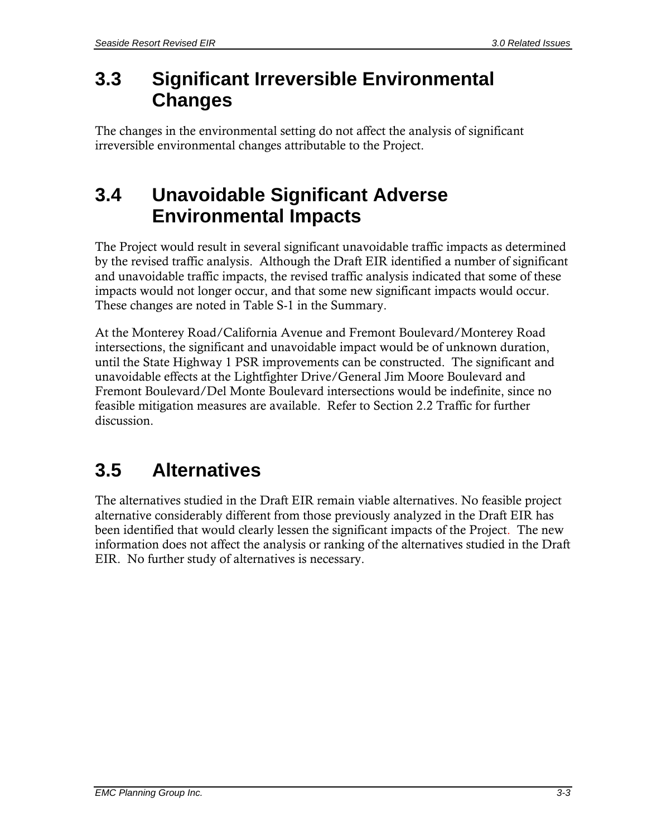## **3.3 Significant Irreversible Environmental Changes**

The changes in the environmental setting do not affect the analysis of significant irreversible environmental changes attributable to the Project.

## **3.4 Unavoidable Significant Adverse Environmental Impacts**

The Project would result in several significant unavoidable traffic impacts as determined by the revised traffic analysis. Although the Draft EIR identified a number of significant and unavoidable traffic impacts, the revised traffic analysis indicated that some of these impacts would not longer occur, and that some new significant impacts would occur. These changes are noted in Table S-1 in the Summary.

At the Monterey Road/California Avenue and Fremont Boulevard/Monterey Road intersections, the significant and unavoidable impact would be of unknown duration, until the State Highway 1 PSR improvements can be constructed. The significant and unavoidable effects at the Lightfighter Drive/General Jim Moore Boulevard and Fremont Boulevard/Del Monte Boulevard intersections would be indefinite, since no feasible mitigation measures are available. Refer to Section 2.2 Traffic for further discussion.

## **3.5 Alternatives**

The alternatives studied in the Draft EIR remain viable alternatives. No feasible project alternative considerably different from those previously analyzed in the Draft EIR has been identified that would clearly lessen the significant impacts of the Project. The new information does not affect the analysis or ranking of the alternatives studied in the Draft EIR. No further study of alternatives is necessary.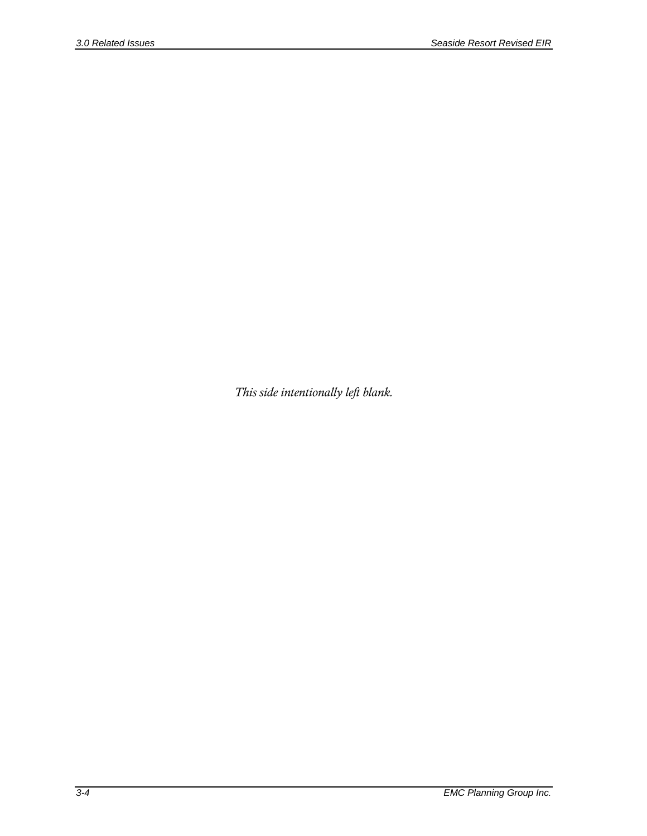*This side intentionally left blank.*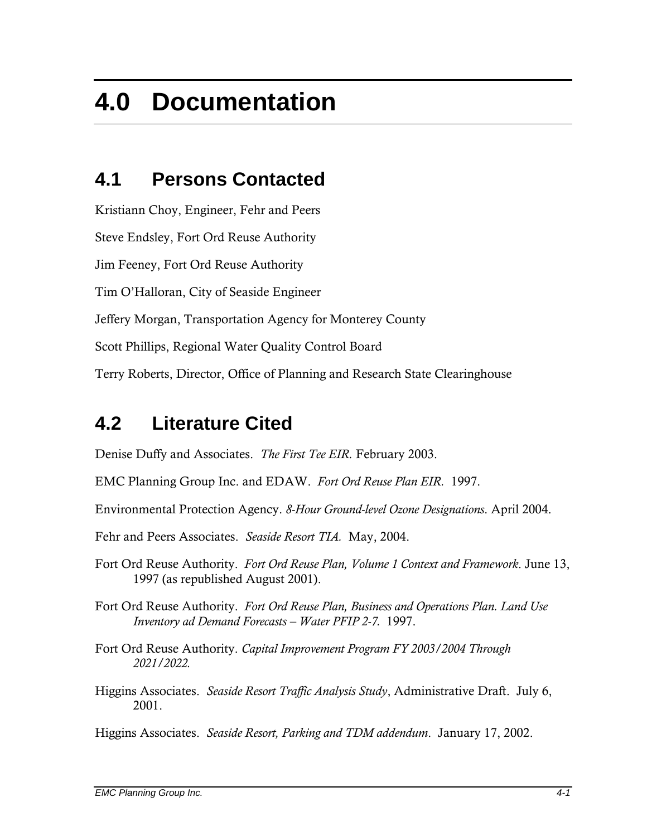# **4.0 Documentation**

## **4.1 Persons Contacted**

Kristiann Choy, Engineer, Fehr and Peers Steve Endsley, Fort Ord Reuse Authority Jim Feeney, Fort Ord Reuse Authority Tim O'Halloran, City of Seaside Engineer Jeffery Morgan, Transportation Agency for Monterey County Scott Phillips, Regional Water Quality Control Board Terry Roberts, Director, Office of Planning and Research State Clearinghouse

## **4.2 Literature Cited**

Denise Duffy and Associates. *The First Tee EIR.* February 2003.

EMC Planning Group Inc. and EDAW. *Fort Ord Reuse Plan EIR.* 1997.

Environmental Protection Agency. *8-Hour Ground-level Ozone Designations*. April 2004.

Fehr and Peers Associates. *Seaside Resort TIA.* May, 2004.

- Fort Ord Reuse Authority. *Fort Ord Reuse Plan, Volume 1 Context and Framework*. June 13, 1997 (as republished August 2001).
- Fort Ord Reuse Authority. *Fort Ord Reuse Plan, Business and Operations Plan. Land Use Inventory ad Demand Forecasts – Water PFIP 2-7.* 1997.

Fort Ord Reuse Authority. *Capital Improvement Program FY 2003/2004 Through 2021/2022.* 

Higgins Associates. *Seaside Resort Traffic Analysis Study*, Administrative Draft. July 6, 2001.

Higgins Associates. *Seaside Resort, Parking and TDM addendum*. January 17, 2002.